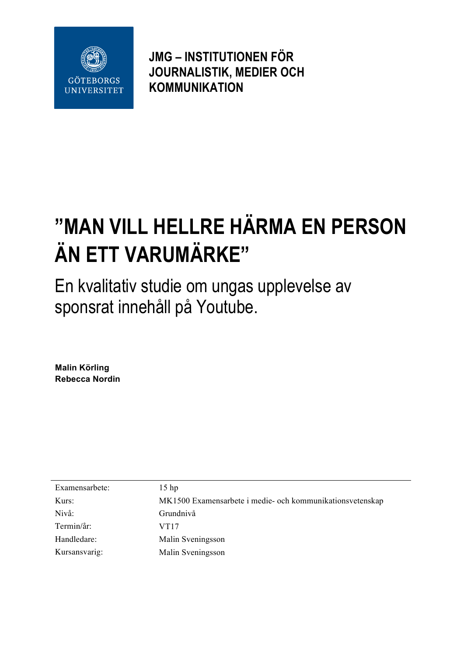

**JMG – INSTITUTIONEN FÖR JOURNALISTIK, MEDIER OCH KOMMUNIKATION**

# **"MAN VILL HELLRE HÄRMA EN PERSON ÄN ETT VARUMÄRKE"**

En kvalitativ studie om ungas upplevelse av sponsrat innehåll på Youtube.

**Malin Körling Rebecca Nordin**

| Examensarbete: | $15$ hp                                                   |
|----------------|-----------------------------------------------------------|
| Kurs:          | MK1500 Examensarbete i medie- och kommunikationsvetenskap |
| Nivå:          | Grundnivå                                                 |
| Termin/år:     | VT17                                                      |
| Handledare:    | Malin Sveningsson                                         |
| Kursansvarig:  | Malin Sveningsson                                         |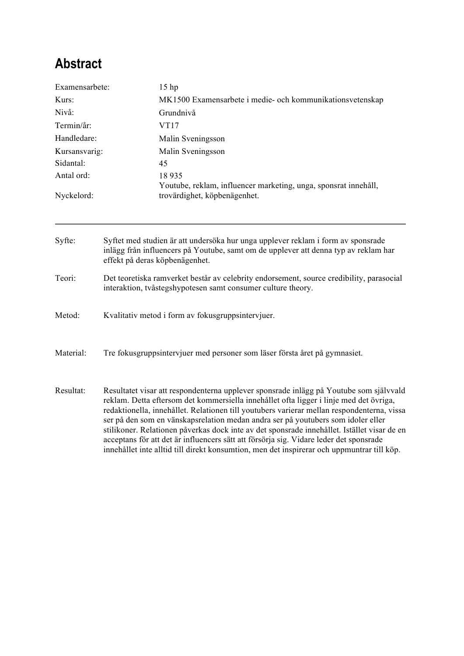# **Abstract**

| Examensarbete: | 15 <sub>hp</sub>                                                                                                                                                                                                                                                                                                                                                                                                                                                                                                                                                                                                                                          |  |
|----------------|-----------------------------------------------------------------------------------------------------------------------------------------------------------------------------------------------------------------------------------------------------------------------------------------------------------------------------------------------------------------------------------------------------------------------------------------------------------------------------------------------------------------------------------------------------------------------------------------------------------------------------------------------------------|--|
| Kurs:          | MK1500 Examensarbete i medie- och kommunikationsvetenskap                                                                                                                                                                                                                                                                                                                                                                                                                                                                                                                                                                                                 |  |
| Nivå:          | Grundnivå                                                                                                                                                                                                                                                                                                                                                                                                                                                                                                                                                                                                                                                 |  |
| Termin/år:     | VT17                                                                                                                                                                                                                                                                                                                                                                                                                                                                                                                                                                                                                                                      |  |
| Handledare:    | Malin Sveningsson                                                                                                                                                                                                                                                                                                                                                                                                                                                                                                                                                                                                                                         |  |
| Kursansvarig:  | Malin Sveningsson                                                                                                                                                                                                                                                                                                                                                                                                                                                                                                                                                                                                                                         |  |
| Sidantal:      | 45                                                                                                                                                                                                                                                                                                                                                                                                                                                                                                                                                                                                                                                        |  |
| Antal ord:     | 18935                                                                                                                                                                                                                                                                                                                                                                                                                                                                                                                                                                                                                                                     |  |
| Nyckelord:     | Youtube, reklam, influencer marketing, unga, sponsrat innehåll,<br>trovärdighet, köpbenägenhet.                                                                                                                                                                                                                                                                                                                                                                                                                                                                                                                                                           |  |
| Syfte:         | Syftet med studien är att undersöka hur unga upplever reklam i form av sponsrade<br>inlägg från influencers på Youtube, samt om de upplever att denna typ av reklam har<br>effekt på deras köpbenägenhet.                                                                                                                                                                                                                                                                                                                                                                                                                                                 |  |
| Teori:         | Det teoretiska ramverket består av celebrity endorsement, source credibility, parasocial<br>interaktion, tvåstegshypotesen samt consumer culture theory.                                                                                                                                                                                                                                                                                                                                                                                                                                                                                                  |  |
| Metod:         | Kvalitativ metod i form av fokusgruppsintervjuer.                                                                                                                                                                                                                                                                                                                                                                                                                                                                                                                                                                                                         |  |
| Material:      | Tre fokusgruppsintervjuer med personer som läser första året på gymnasiet.                                                                                                                                                                                                                                                                                                                                                                                                                                                                                                                                                                                |  |
| Resultat:      | Resultatet visar att respondenterna upplever sponsrade inlägg på Youtube som självvald<br>reklam. Detta eftersom det kommersiella innehållet ofta ligger i linje med det övriga,<br>redaktionella, innehållet. Relationen till youtubers varierar mellan respondenterna, vissa<br>ser på den som en vänskapsrelation medan andra ser på youtubers som idoler eller<br>stilikoner. Relationen påverkas dock inte av det sponsrade innehållet. Istället visar de en<br>acceptans för att det är influencers sätt att försörja sig. Vidare leder det sponsrade<br>innehållet inte alltid till direkt konsumtion, men det inspirerar och uppmuntrar till köp. |  |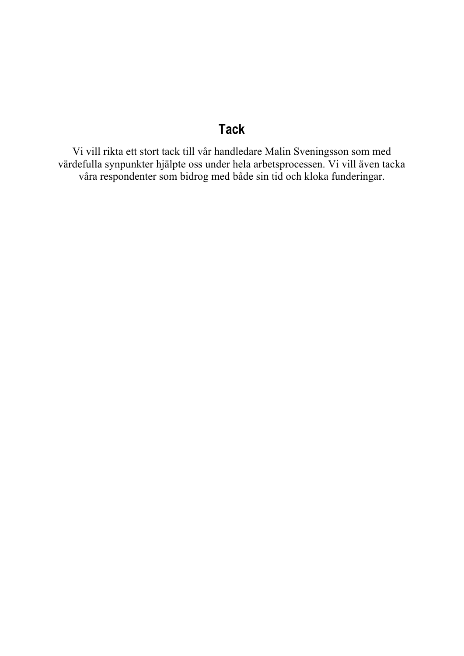# **Tack**

Vi vill rikta ett stort tack till vår handledare Malin Sveningsson som med värdefulla synpunkter hjälpte oss under hela arbetsprocessen. Vi vill även tacka våra respondenter som bidrog med både sin tid och kloka funderingar.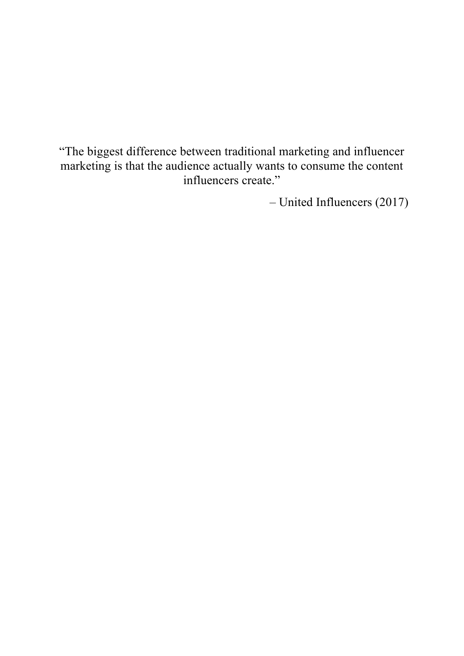"The biggest difference between traditional marketing and influencer marketing is that the audience actually wants to consume the content influencers create."

– United Influencers (2017)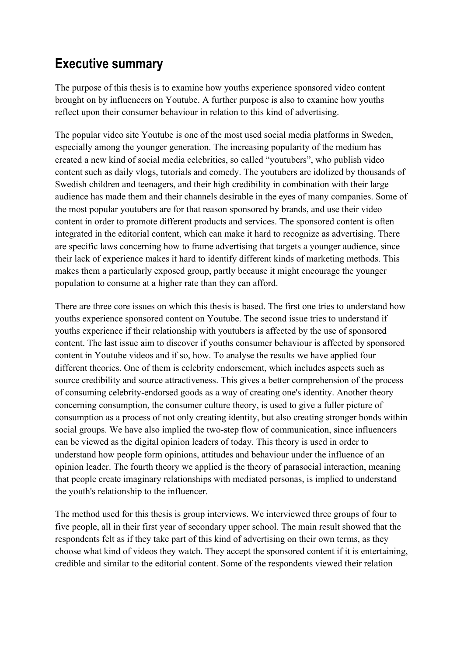# **Executive summary**

The purpose of this thesis is to examine how youths experience sponsored video content brought on by influencers on Youtube. A further purpose is also to examine how youths reflect upon their consumer behaviour in relation to this kind of advertising.

The popular video site Youtube is one of the most used social media platforms in Sweden, especially among the younger generation. The increasing popularity of the medium has created a new kind of social media celebrities, so called "youtubers", who publish video content such as daily vlogs, tutorials and comedy. The youtubers are idolized by thousands of Swedish children and teenagers, and their high credibility in combination with their large audience has made them and their channels desirable in the eyes of many companies. Some of the most popular youtubers are for that reason sponsored by brands, and use their video content in order to promote different products and services. The sponsored content is often integrated in the editorial content, which can make it hard to recognize as advertising. There are specific laws concerning how to frame advertising that targets a younger audience, since their lack of experience makes it hard to identify different kinds of marketing methods. This makes them a particularly exposed group, partly because it might encourage the younger population to consume at a higher rate than they can afford.

There are three core issues on which this thesis is based. The first one tries to understand how youths experience sponsored content on Youtube. The second issue tries to understand if youths experience if their relationship with youtubers is affected by the use of sponsored content. The last issue aim to discover if youths consumer behaviour is affected by sponsored content in Youtube videos and if so, how. To analyse the results we have applied four different theories. One of them is celebrity endorsement, which includes aspects such as source credibility and source attractiveness. This gives a better comprehension of the process of consuming celebrity-endorsed goods as a way of creating one's identity. Another theory concerning consumption, the consumer culture theory, is used to give a fuller picture of consumption as a process of not only creating identity, but also creating stronger bonds within social groups. We have also implied the two-step flow of communication, since influencers can be viewed as the digital opinion leaders of today. This theory is used in order to understand how people form opinions, attitudes and behaviour under the influence of an opinion leader. The fourth theory we applied is the theory of parasocial interaction, meaning that people create imaginary relationships with mediated personas, is implied to understand the youth's relationship to the influencer.

The method used for this thesis is group interviews. We interviewed three groups of four to five people, all in their first year of secondary upper school. The main result showed that the respondents felt as if they take part of this kind of advertising on their own terms, as they choose what kind of videos they watch. They accept the sponsored content if it is entertaining, credible and similar to the editorial content. Some of the respondents viewed their relation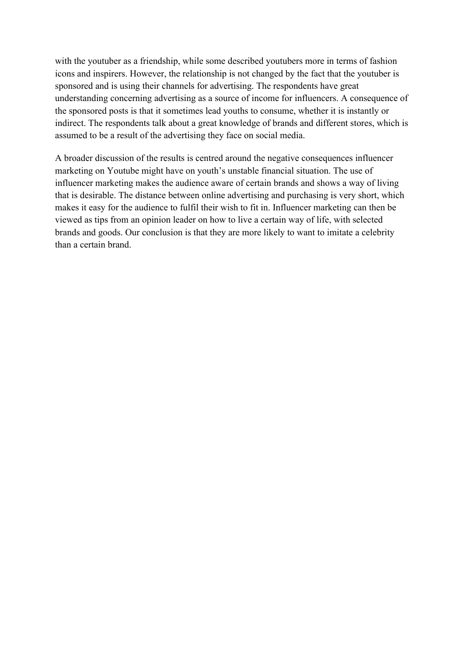with the youtuber as a friendship, while some described youtubers more in terms of fashion icons and inspirers. However, the relationship is not changed by the fact that the youtuber is sponsored and is using their channels for advertising. The respondents have great understanding concerning advertising as a source of income for influencers. A consequence of the sponsored posts is that it sometimes lead youths to consume, whether it is instantly or indirect. The respondents talk about a great knowledge of brands and different stores, which is assumed to be a result of the advertising they face on social media.

A broader discussion of the results is centred around the negative consequences influencer marketing on Youtube might have on youth's unstable financial situation. The use of influencer marketing makes the audience aware of certain brands and shows a way of living that is desirable. The distance between online advertising and purchasing is very short, which makes it easy for the audience to fulfil their wish to fit in. Influencer marketing can then be viewed as tips from an opinion leader on how to live a certain way of life, with selected brands and goods. Our conclusion is that they are more likely to want to imitate a celebrity than a certain brand.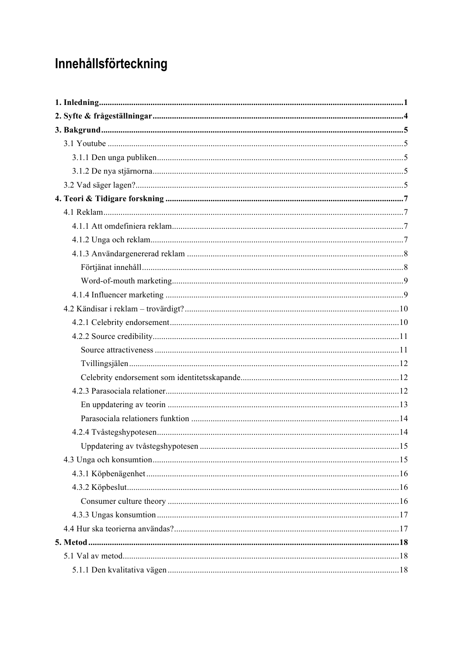# Innehållsförteckning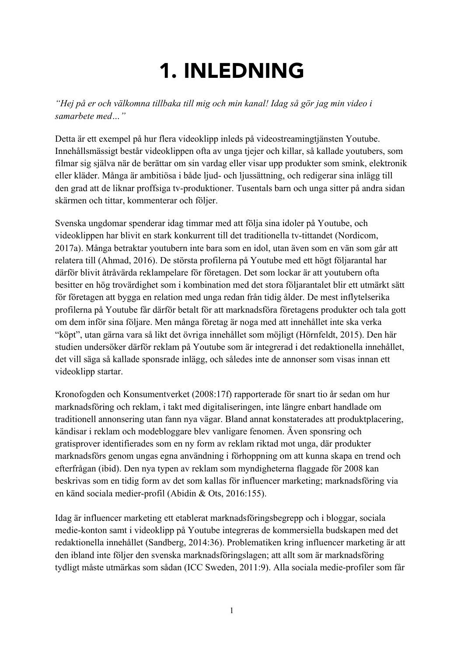# 1. INLEDNING

*"Hej på er och välkomna tillbaka till mig och min kanal! Idag så gör jag min video i samarbete med…"*

Detta är ett exempel på hur flera videoklipp inleds på videostreamingtjänsten Youtube. Innehållsmässigt består videoklippen ofta av unga tjejer och killar, så kallade youtubers, som filmar sig själva när de berättar om sin vardag eller visar upp produkter som smink, elektronik eller kläder. Många är ambitiösa i både ljud- och ljussättning, och redigerar sina inlägg till den grad att de liknar proffsiga tv-produktioner. Tusentals barn och unga sitter på andra sidan skärmen och tittar, kommenterar och följer.

Svenska ungdomar spenderar idag timmar med att följa sina idoler på Youtube, och videoklippen har blivit en stark konkurrent till det traditionella tv-tittandet (Nordicom, 2017a). Många betraktar youtubern inte bara som en idol, utan även som en vän som går att relatera till (Ahmad, 2016). De största profilerna på Youtube med ett högt följarantal har därför blivit åtråvärda reklampelare för företagen. Det som lockar är att youtubern ofta besitter en hög trovärdighet som i kombination med det stora följarantalet blir ett utmärkt sätt för företagen att bygga en relation med unga redan från tidig ålder. De mest inflytelserika profilerna på Youtube får därför betalt för att marknadsföra företagens produkter och tala gott om dem inför sina följare. Men många företag är noga med att innehållet inte ska verka "köpt", utan gärna vara så likt det övriga innehållet som möjligt (Hörnfeldt, 2015). Den här studien undersöker därför reklam på Youtube som är integrerad i det redaktionella innehållet, det vill säga så kallade sponsrade inlägg, och således inte de annonser som visas innan ett videoklipp startar.

Kronofogden och Konsumentverket (2008:17f) rapporterade för snart tio år sedan om hur marknadsföring och reklam, i takt med digitaliseringen, inte längre enbart handlade om traditionell annonsering utan fann nya vägar. Bland annat konstaterades att produktplacering, kändisar i reklam och modebloggare blev vanligare fenomen. Även sponsring och gratisprover identifierades som en ny form av reklam riktad mot unga, där produkter marknadsförs genom ungas egna användning i förhoppning om att kunna skapa en trend och efterfrågan (ibid). Den nya typen av reklam som myndigheterna flaggade för 2008 kan beskrivas som en tidig form av det som kallas för influencer marketing; marknadsföring via en känd sociala medier-profil (Abidin & Ots, 2016:155).

Idag är influencer marketing ett etablerat marknadsföringsbegrepp och i bloggar, sociala medie-konton samt i videoklipp på Youtube integreras de kommersiella budskapen med det redaktionella innehållet (Sandberg, 2014:36). Problematiken kring influencer marketing är att den ibland inte följer den svenska marknadsföringslagen; att allt som är marknadsföring tydligt måste utmärkas som sådan (ICC Sweden, 2011:9). Alla sociala medie-profiler som får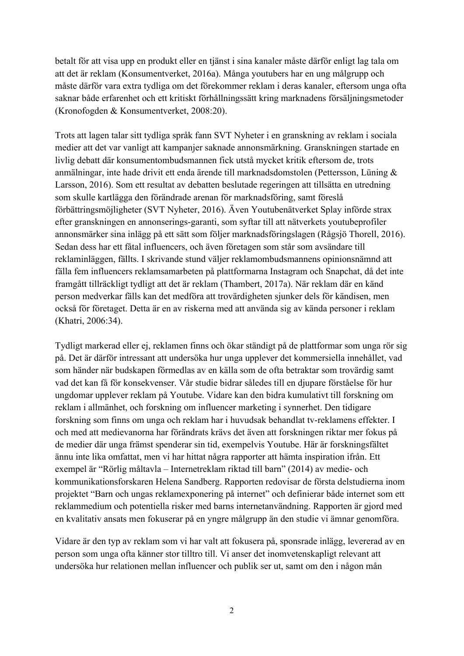betalt för att visa upp en produkt eller en tjänst i sina kanaler måste därför enligt lag tala om att det är reklam (Konsumentverket, 2016a). Många youtubers har en ung målgrupp och måste därför vara extra tydliga om det förekommer reklam i deras kanaler, eftersom unga ofta saknar både erfarenhet och ett kritiskt förhållningssätt kring marknadens försäljningsmetoder (Kronofogden & Konsumentverket, 2008:20).

Trots att lagen talar sitt tydliga språk fann SVT Nyheter i en granskning av reklam i sociala medier att det var vanligt att kampanjer saknade annonsmärkning. Granskningen startade en livlig debatt där konsumentombudsmannen fick utstå mycket kritik eftersom de, trots anmälningar, inte hade drivit ett enda ärende till marknadsdomstolen (Pettersson, Lüning & Larsson, 2016). Som ett resultat av debatten beslutade regeringen att tillsätta en utredning som skulle kartlägga den förändrade arenan för marknadsföring, samt föreslå förbättringsmöjligheter (SVT Nyheter, 2016). Även Youtubenätverket Splay införde strax efter granskningen en annonserings-garanti, som syftar till att nätverkets youtubeprofiler annonsmärker sina inlägg på ett sätt som följer marknadsföringslagen (Rågsjö Thorell, 2016). Sedan dess har ett fåtal influencers, och även företagen som står som avsändare till reklaminläggen, fällts. I skrivande stund väljer reklamombudsmannens opinionsnämnd att fälla fem influencers reklamsamarbeten på plattformarna Instagram och Snapchat, då det inte framgått tillräckligt tydligt att det är reklam (Thambert, 2017a). När reklam där en känd person medverkar fälls kan det medföra att trovärdigheten sjunker dels för kändisen, men också för företaget. Detta är en av riskerna med att använda sig av kända personer i reklam (Khatri, 2006:34).

Tydligt markerad eller ej, reklamen finns och ökar ständigt på de plattformar som unga rör sig på. Det är därför intressant att undersöka hur unga upplever det kommersiella innehållet, vad som händer när budskapen förmedlas av en källa som de ofta betraktar som trovärdig samt vad det kan få för konsekvenser. Vår studie bidrar således till en djupare förståelse för hur ungdomar upplever reklam på Youtube. Vidare kan den bidra kumulativt till forskning om reklam i allmänhet, och forskning om influencer marketing i synnerhet. Den tidigare forskning som finns om unga och reklam har i huvudsak behandlat tv-reklamens effekter. I och med att medievanorna har förändrats krävs det även att forskningen riktar mer fokus på de medier där unga främst spenderar sin tid, exempelvis Youtube. Här är forskningsfältet ännu inte lika omfattat, men vi har hittat några rapporter att hämta inspiration ifrån. Ett exempel är "Rörlig måltavla – Internetreklam riktad till barn" (2014) av medie- och kommunikationsforskaren Helena Sandberg. Rapporten redovisar de första delstudierna inom projektet "Barn och ungas reklamexponering på internet" och definierar både internet som ett reklammedium och potentiella risker med barns internetanvändning. Rapporten är gjord med en kvalitativ ansats men fokuserar på en yngre målgrupp än den studie vi ämnar genomföra.

Vidare är den typ av reklam som vi har valt att fokusera på, sponsrade inlägg, levererad av en person som unga ofta känner stor tilltro till. Vi anser det inomvetenskapligt relevant att undersöka hur relationen mellan influencer och publik ser ut, samt om den i någon mån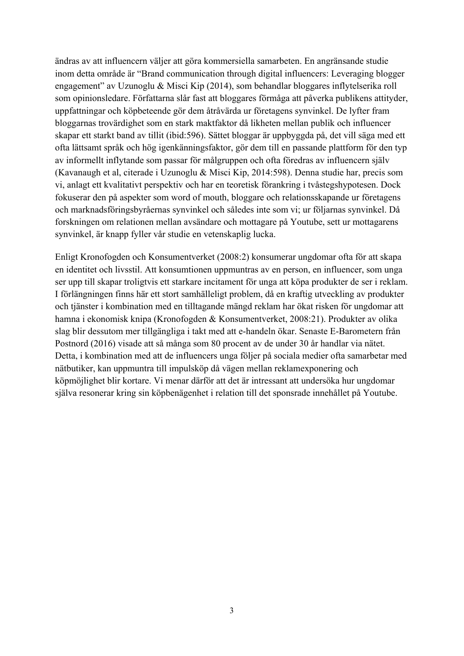ändras av att influencern väljer att göra kommersiella samarbeten. En angränsande studie inom detta område är "Brand communication through digital influencers: Leveraging blogger engagement" av Uzunoglu & Misci Kip (2014), som behandlar bloggares inflytelserika roll som opinionsledare. Författarna slår fast att bloggares förmåga att påverka publikens attityder, uppfattningar och köpbeteende gör dem åtråvärda ur företagens synvinkel. De lyfter fram bloggarnas trovärdighet som en stark maktfaktor då likheten mellan publik och influencer skapar ett starkt band av tillit (ibid:596). Sättet bloggar är uppbyggda på, det vill säga med ett ofta lättsamt språk och hög igenkänningsfaktor, gör dem till en passande plattform för den typ av informellt inflytande som passar för målgruppen och ofta föredras av influencern själv (Kavanaugh et al, citerade i Uzunoglu & Misci Kip, 2014:598). Denna studie har, precis som vi, anlagt ett kvalitativt perspektiv och har en teoretisk förankring i tvåstegshypotesen. Dock fokuserar den på aspekter som word of mouth, bloggare och relationsskapande ur företagens och marknadsföringsbyråernas synvinkel och således inte som vi; ur följarnas synvinkel. Då forskningen om relationen mellan avsändare och mottagare på Youtube, sett ur mottagarens synvinkel, är knapp fyller vår studie en vetenskaplig lucka.

Enligt Kronofogden och Konsumentverket (2008:2) konsumerar ungdomar ofta för att skapa en identitet och livsstil. Att konsumtionen uppmuntras av en person, en influencer, som unga ser upp till skapar troligtvis ett starkare incitament för unga att köpa produkter de ser i reklam. I förlängningen finns här ett stort samhälleligt problem, då en kraftig utveckling av produkter och tjänster i kombination med en tilltagande mängd reklam har ökat risken för ungdomar att hamna i ekonomisk knipa (Kronofogden & Konsumentverket, 2008:21). Produkter av olika slag blir dessutom mer tillgängliga i takt med att e-handeln ökar. Senaste E-Barometern från Postnord (2016) visade att så många som 80 procent av de under 30 år handlar via nätet. Detta, i kombination med att de influencers unga följer på sociala medier ofta samarbetar med nätbutiker, kan uppmuntra till impulsköp då vägen mellan reklamexponering och köpmöjlighet blir kortare. Vi menar därför att det är intressant att undersöka hur ungdomar själva resonerar kring sin köpbenägenhet i relation till det sponsrade innehållet på Youtube.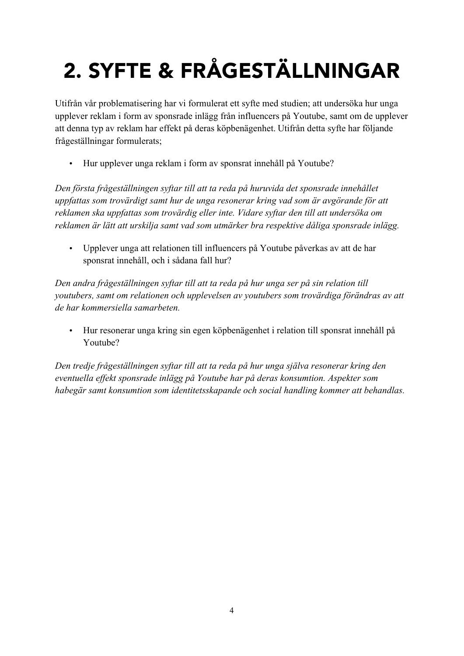# 2. SYFTE & FRÅGESTÄLLNINGAR

Utifrån vår problematisering har vi formulerat ett syfte med studien; att undersöka hur unga upplever reklam i form av sponsrade inlägg från influencers på Youtube, samt om de upplever att denna typ av reklam har effekt på deras köpbenägenhet. Utifrån detta syfte har följande frågeställningar formulerats;

• Hur upplever unga reklam i form av sponsrat innehåll på Youtube?

*Den första frågeställningen syftar till att ta reda på huruvida det sponsrade innehållet uppfattas som trovärdigt samt hur de unga resonerar kring vad som är avgörande för att reklamen ska uppfattas som trovärdig eller inte. Vidare syftar den till att undersöka om reklamen är lätt att urskilja samt vad som utmärker bra respektive dåliga sponsrade inlägg.* 

• Upplever unga att relationen till influencers på Youtube påverkas av att de har sponsrat innehåll, och i sådana fall hur?

*Den andra frågeställningen syftar till att ta reda på hur unga ser på sin relation till youtubers, samt om relationen och upplevelsen av youtubers som trovärdiga förändras av att de har kommersiella samarbeten.* 

• Hur resonerar unga kring sin egen köpbenägenhet i relation till sponsrat innehåll på Youtube?

*Den tredje frågeställningen syftar till att ta reda på hur unga själva resonerar kring den eventuella effekt sponsrade inlägg på Youtube har på deras konsumtion. Aspekter som habegär samt konsumtion som identitetsskapande och social handling kommer att behandlas.*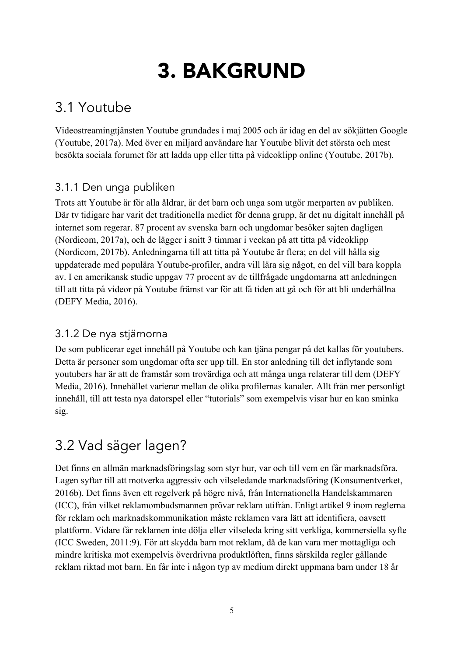# 3. BAKGRUND

# 3.1 Youtube

Videostreamingtjänsten Youtube grundades i maj 2005 och är idag en del av sökjätten Google (Youtube, 2017a). Med över en miljard användare har Youtube blivit det största och mest besökta sociala forumet för att ladda upp eller titta på videoklipp online (Youtube, 2017b).

## 3.1.1 Den unga publiken

Trots att Youtube är för alla åldrar, är det barn och unga som utgör merparten av publiken. Där tv tidigare har varit det traditionella mediet för denna grupp, är det nu digitalt innehåll på internet som regerar. 87 procent av svenska barn och ungdomar besöker sajten dagligen (Nordicom, 2017a), och de lägger i snitt 3 timmar i veckan på att titta på videoklipp (Nordicom, 2017b). Anledningarna till att titta på Youtube är flera; en del vill hålla sig uppdaterade med populära Youtube-profiler, andra vill lära sig något, en del vill bara koppla av. I en amerikansk studie uppgav 77 procent av de tillfrågade ungdomarna att anledningen till att titta på videor på Youtube främst var för att få tiden att gå och för att bli underhållna (DEFY Media, 2016).

### 3.1.2 De nya stjärnorna

De som publicerar eget innehåll på Youtube och kan tjäna pengar på det kallas för youtubers. Detta är personer som ungdomar ofta ser upp till. En stor anledning till det inflytande som youtubers har är att de framstår som trovärdiga och att många unga relaterar till dem (DEFY Media, 2016). Innehållet varierar mellan de olika profilernas kanaler. Allt från mer personligt innehåll, till att testa nya datorspel eller "tutorials" som exempelvis visar hur en kan sminka sig.

# 3.2 Vad säger lagen?

Det finns en allmän marknadsföringslag som styr hur, var och till vem en får marknadsföra. Lagen syftar till att motverka aggressiv och vilseledande marknadsföring (Konsumentverket, 2016b). Det finns även ett regelverk på högre nivå, från Internationella Handelskammaren (ICC), från vilket reklamombudsmannen prövar reklam utifrån. Enligt artikel 9 inom reglerna för reklam och marknadskommunikation måste reklamen vara lätt att identifiera, oavsett plattform. Vidare får reklamen inte dölja eller vilseleda kring sitt verkliga, kommersiella syfte (ICC Sweden, 2011:9). För att skydda barn mot reklam, då de kan vara mer mottagliga och mindre kritiska mot exempelvis överdrivna produktlöften, finns särskilda regler gällande reklam riktad mot barn. En får inte i någon typ av medium direkt uppmana barn under 18 år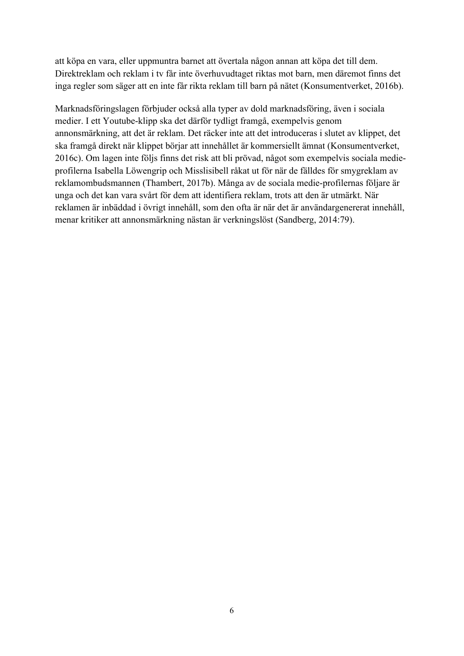att köpa en vara, eller uppmuntra barnet att övertala någon annan att köpa det till dem. Direktreklam och reklam i tv får inte överhuvudtaget riktas mot barn, men däremot finns det inga regler som säger att en inte får rikta reklam till barn på nätet (Konsumentverket, 2016b).

Marknadsföringslagen förbjuder också alla typer av dold marknadsföring, även i sociala medier. I ett Youtube-klipp ska det därför tydligt framgå, exempelvis genom annonsmärkning, att det är reklam. Det räcker inte att det introduceras i slutet av klippet, det ska framgå direkt när klippet börjar att innehållet är kommersiellt ämnat (Konsumentverket, 2016c). Om lagen inte följs finns det risk att bli prövad, något som exempelvis sociala medieprofilerna Isabella Löwengrip och Misslisibell råkat ut för när de fälldes för smygreklam av reklamombudsmannen (Thambert, 2017b). Många av de sociala medie-profilernas följare är unga och det kan vara svårt för dem att identifiera reklam, trots att den är utmärkt. När reklamen är inbäddad i övrigt innehåll, som den ofta är när det är användargenererat innehåll, menar kritiker att annonsmärkning nästan är verkningslöst (Sandberg, 2014:79).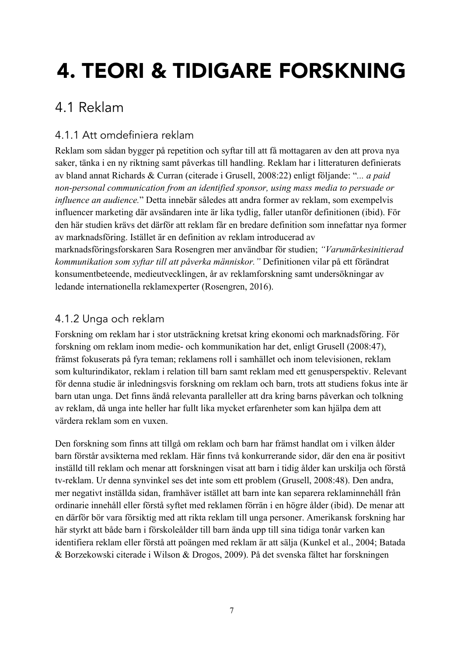# 4. TEORI & TIDIGARE FORSKNING

# 4.1 Reklam

### 4.1.1 Att omdefiniera reklam

Reklam som sådan bygger på repetition och syftar till att få mottagaren av den att prova nya saker, tänka i en ny riktning samt påverkas till handling. Reklam har i litteraturen definierats av bland annat Richards & Curran (citerade i Grusell, 2008:22) enligt följande: "*... a paid non-personal communication from an identified sponsor, using mass media to persuade or influence an audience.*" Detta innebär således att andra former av reklam, som exempelvis influencer marketing där avsändaren inte är lika tydlig, faller utanför definitionen (ibid). För den här studien krävs det därför att reklam får en bredare definition som innefattar nya former av marknadsföring. Istället är en definition av reklam introducerad av marknadsföringsforskaren Sara Rosengren mer användbar för studien; *"Varumärkesinitierad kommunikation som syftar till att påverka människor."* Definitionen vilar på ett förändrat konsumentbeteende, medieutvecklingen, år av reklamforskning samt undersökningar av ledande internationella reklamexperter (Rosengren, 2016).

### 4.1.2 Unga och reklam

Forskning om reklam har i stor utsträckning kretsat kring ekonomi och marknadsföring. För forskning om reklam inom medie- och kommunikation har det, enligt Grusell (2008:47), främst fokuserats på fyra teman; reklamens roll i samhället och inom televisionen, reklam som kulturindikator, reklam i relation till barn samt reklam med ett genusperspektiv. Relevant för denna studie är inledningsvis forskning om reklam och barn, trots att studiens fokus inte är barn utan unga. Det finns ändå relevanta paralleller att dra kring barns påverkan och tolkning av reklam, då unga inte heller har fullt lika mycket erfarenheter som kan hjälpa dem att värdera reklam som en vuxen.

Den forskning som finns att tillgå om reklam och barn har främst handlat om i vilken ålder barn förstår avsikterna med reklam. Här finns två konkurrerande sidor, där den ena är positivt inställd till reklam och menar att forskningen visat att barn i tidig ålder kan urskilja och förstå tv-reklam. Ur denna synvinkel ses det inte som ett problem (Grusell, 2008:48). Den andra, mer negativt inställda sidan, framhäver istället att barn inte kan separera reklaminnehåll från ordinarie innehåll eller förstå syftet med reklamen förrän i en högre ålder (ibid). De menar att en därför bör vara försiktig med att rikta reklam till unga personer. Amerikansk forskning har här styrkt att både barn i förskoleålder till barn ända upp till sina tidiga tonår varken kan identifiera reklam eller förstå att poängen med reklam är att sälja (Kunkel et al., 2004; Batada & Borzekowski citerade i Wilson & Drogos, 2009). På det svenska fältet har forskningen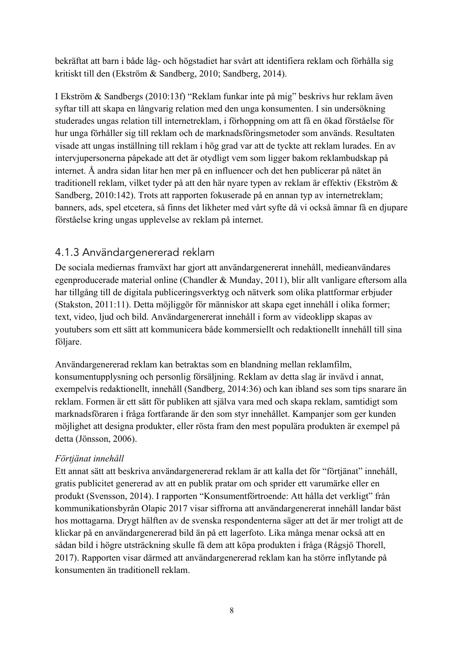bekräftat att barn i både låg- och högstadiet har svårt att identifiera reklam och förhålla sig kritiskt till den (Ekström & Sandberg, 2010; Sandberg, 2014).

I Ekström & Sandbergs (2010:13f) "Reklam funkar inte på mig" beskrivs hur reklam även syftar till att skapa en långvarig relation med den unga konsumenten. I sin undersökning studerades ungas relation till internetreklam, i förhoppning om att få en ökad förståelse för hur unga förhåller sig till reklam och de marknadsföringsmetoder som används. Resultaten visade att ungas inställning till reklam i hög grad var att de tyckte att reklam lurades. En av intervjupersonerna påpekade att det är otydligt vem som ligger bakom reklambudskap på internet. Å andra sidan litar hen mer på en influencer och det hen publicerar på nätet än traditionell reklam, vilket tyder på att den här nyare typen av reklam är effektiv (Ekström & Sandberg, 2010:142). Trots att rapporten fokuserade på en annan typ av internetreklam; banners, ads, spel etcetera, så finns det likheter med vårt syfte då vi också ämnar få en djupare förståelse kring ungas upplevelse av reklam på internet.

## 4.1.3 Användargenererad reklam

De sociala mediernas framväxt har gjort att användargenererat innehåll, medieanvändares egenproducerade material online (Chandler & Munday, 2011), blir allt vanligare eftersom alla har tillgång till de digitala publiceringsverktyg och nätverk som olika plattformar erbjuder (Stakston, 2011:11). Detta möjliggör för människor att skapa eget innehåll i olika former; text, video, ljud och bild. Användargenererat innehåll i form av videoklipp skapas av youtubers som ett sätt att kommunicera både kommersiellt och redaktionellt innehåll till sina följare.

Användargenererad reklam kan betraktas som en blandning mellan reklamfilm, konsumentupplysning och personlig försäljning. Reklam av detta slag är invävd i annat, exempelvis redaktionellt, innehåll (Sandberg, 2014:36) och kan ibland ses som tips snarare än reklam. Formen är ett sätt för publiken att själva vara med och skapa reklam, samtidigt som marknadsföraren i fråga fortfarande är den som styr innehållet. Kampanjer som ger kunden möjlighet att designa produkter, eller rösta fram den mest populära produkten är exempel på detta (Jönsson, 2006).

#### *Förtjänat innehåll*

Ett annat sätt att beskriva användargenererad reklam är att kalla det för "förtjänat" innehåll, gratis publicitet genererad av att en publik pratar om och sprider ett varumärke eller en produkt (Svensson, 2014). I rapporten "Konsumentförtroende: Att hålla det verkligt" från kommunikationsbyrån Olapic 2017 visar siffrorna att användargenererat innehåll landar bäst hos mottagarna. Drygt hälften av de svenska respondenterna säger att det är mer troligt att de klickar på en användargenererad bild än på ett lagerfoto. Lika många menar också att en sådan bild i högre utsträckning skulle få dem att köpa produkten i fråga (Rågsjö Thorell, 2017). Rapporten visar därmed att användargenererad reklam kan ha större inflytande på konsumenten än traditionell reklam.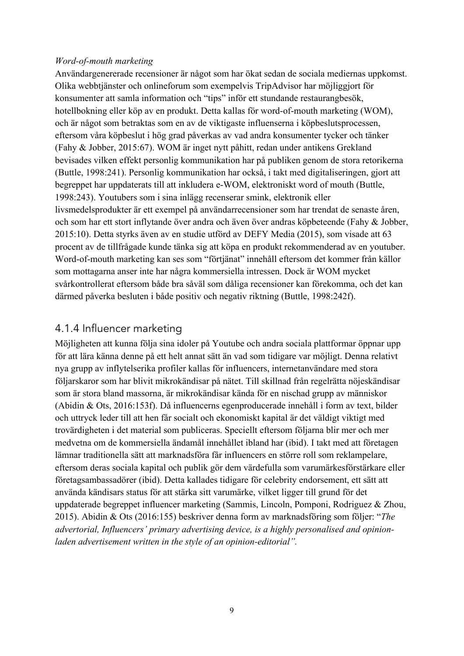#### *Word-of-mouth marketing*

Användargenererade recensioner är något som har ökat sedan de sociala mediernas uppkomst. Olika webbtjänster och onlineforum som exempelvis TripAdvisor har möjliggjort för konsumenter att samla information och "tips" inför ett stundande restaurangbesök, hotellbokning eller köp av en produkt. Detta kallas för word-of-mouth marketing (WOM), och är något som betraktas som en av de viktigaste influenserna i köpbeslutsprocessen, eftersom våra köpbeslut i hög grad påverkas av vad andra konsumenter tycker och tänker (Fahy & Jobber, 2015:67). WOM är inget nytt påhitt, redan under antikens Grekland bevisades vilken effekt personlig kommunikation har på publiken genom de stora retorikerna (Buttle, 1998:241). Personlig kommunikation har också, i takt med digitaliseringen, gjort att begreppet har uppdaterats till att inkludera e-WOM, elektroniskt word of mouth (Buttle, 1998:243). Youtubers som i sina inlägg recenserar smink, elektronik eller livsmedelsprodukter är ett exempel på användarrecensioner som har trendat de senaste åren, och som har ett stort inflytande över andra och även över andras köpbeteende (Fahy & Jobber, 2015:10). Detta styrks även av en studie utförd av DEFY Media (2015), som visade att 63 procent av de tillfrågade kunde tänka sig att köpa en produkt rekommenderad av en youtuber. Word-of-mouth marketing kan ses som "förtjänat" innehåll eftersom det kommer från källor som mottagarna anser inte har några kommersiella intressen. Dock är WOM mycket svårkontrollerat eftersom både bra såväl som dåliga recensioner kan förekomma, och det kan därmed påverka besluten i både positiv och negativ riktning (Buttle, 1998:242f).

#### 4.1.4 Influencer marketing

Möjligheten att kunna följa sina idoler på Youtube och andra sociala plattformar öppnar upp för att lära känna denne på ett helt annat sätt än vad som tidigare var möjligt. Denna relativt nya grupp av inflytelserika profiler kallas för influencers, internetanvändare med stora följarskaror som har blivit mikrokändisar på nätet. Till skillnad från regelrätta nöjeskändisar som är stora bland massorna, är mikrokändisar kända för en nischad grupp av människor (Abidin & Ots, 2016:153f). Då influencerns egenproducerade innehåll i form av text, bilder och uttryck leder till att hen får socialt och ekonomiskt kapital är det väldigt viktigt med trovärdigheten i det material som publiceras. Speciellt eftersom följarna blir mer och mer medvetna om de kommersiella ändamål innehållet ibland har (ibid). I takt med att företagen lämnar traditionella sätt att marknadsföra får influencers en större roll som reklampelare, eftersom deras sociala kapital och publik gör dem värdefulla som varumärkesförstärkare eller företagsambassadörer (ibid). Detta kallades tidigare för celebrity endorsement, ett sätt att använda kändisars status för att stärka sitt varumärke, vilket ligger till grund för det uppdaterade begreppet influencer marketing (Sammis, Lincoln, Pomponi, Rodriguez & Zhou, 2015). Abidin & Ots (2016:155) beskriver denna form av marknadsföring som följer: "*The advertorial, Influencers' primary advertising device, is a highly personalised and opinionladen advertisement written in the style of an opinion-editorial".*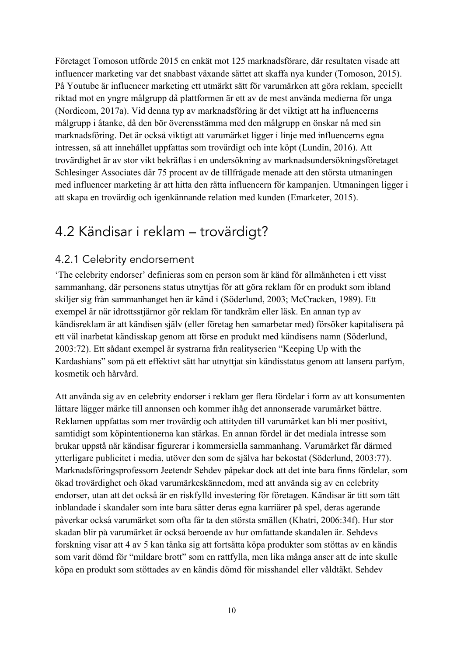Företaget Tomoson utförde 2015 en enkät mot 125 marknadsförare, där resultaten visade att influencer marketing var det snabbast växande sättet att skaffa nya kunder (Tomoson, 2015). På Youtube är influencer marketing ett utmärkt sätt för varumärken att göra reklam, speciellt riktad mot en yngre målgrupp då plattformen är ett av de mest använda medierna för unga (Nordicom, 2017a). Vid denna typ av marknadsföring är det viktigt att ha influencerns målgrupp i åtanke, då den bör överensstämma med den målgrupp en önskar nå med sin marknadsföring. Det är också viktigt att varumärket ligger i linje med influencerns egna intressen, så att innehållet uppfattas som trovärdigt och inte köpt (Lundin, 2016). Att trovärdighet är av stor vikt bekräftas i en undersökning av marknadsundersökningsföretaget Schlesinger Associates där 75 procent av de tillfrågade menade att den största utmaningen med influencer marketing är att hitta den rätta influencern för kampanjen. Utmaningen ligger i att skapa en trovärdig och igenkännande relation med kunden (Emarketer, 2015).

# 4.2 Kändisar i reklam – trovärdigt?

### 4.2.1 Celebrity endorsement

'The celebrity endorser' definieras som en person som är känd för allmänheten i ett visst sammanhang, där personens status utnyttjas för att göra reklam för en produkt som ibland skiljer sig från sammanhanget hen är känd i (Söderlund, 2003; McCracken, 1989). Ett exempel är när idrottsstjärnor gör reklam för tandkräm eller läsk. En annan typ av kändisreklam är att kändisen själv (eller företag hen samarbetar med) försöker kapitalisera på ett väl inarbetat kändisskap genom att förse en produkt med kändisens namn (Söderlund, 2003:72). Ett sådant exempel är systrarna från realityserien "Keeping Up with the Kardashians" som på ett effektivt sätt har utnyttjat sin kändisstatus genom att lansera parfym, kosmetik och hårvård.

Att använda sig av en celebrity endorser i reklam ger flera fördelar i form av att konsumenten lättare lägger märke till annonsen och kommer ihåg det annonserade varumärket bättre. Reklamen uppfattas som mer trovärdig och attityden till varumärket kan bli mer positivt, samtidigt som köpintentionerna kan stärkas. En annan fördel är det mediala intresse som brukar uppstå när kändisar figurerar i kommersiella sammanhang. Varumärket får därmed ytterligare publicitet i media, utöver den som de själva har bekostat (Söderlund, 2003:77). Marknadsföringsprofessorn Jeetendr Sehdev påpekar dock att det inte bara finns fördelar, som ökad trovärdighet och ökad varumärkeskännedom, med att använda sig av en celebrity endorser, utan att det också är en riskfylld investering för företagen. Kändisar är titt som tätt inblandade i skandaler som inte bara sätter deras egna karriärer på spel, deras agerande påverkar också varumärket som ofta får ta den största smällen (Khatri, 2006:34f). Hur stor skadan blir på varumärket är också beroende av hur omfattande skandalen är. Sehdevs forskning visar att 4 av 5 kan tänka sig att fortsätta köpa produkter som stöttas av en kändis som varit dömd för "mildare brott" som en rattfylla, men lika många anser att de inte skulle köpa en produkt som stöttades av en kändis dömd för misshandel eller våldtäkt. Sehdev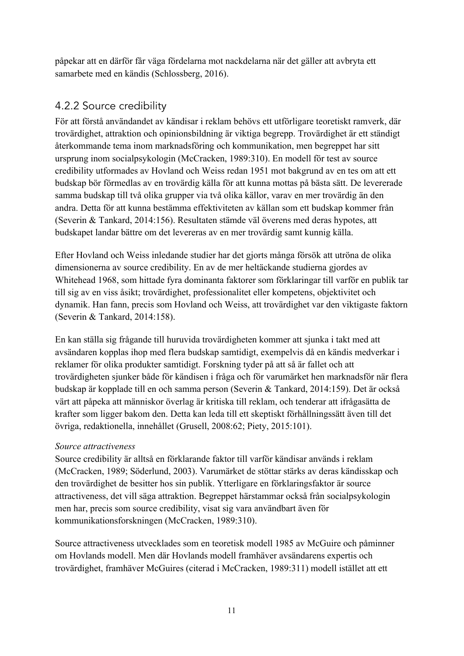påpekar att en därför får väga fördelarna mot nackdelarna när det gäller att avbryta ett samarbete med en kändis (Schlossberg, 2016).

## 4.2.2 Source credibility

För att förstå användandet av kändisar i reklam behövs ett utförligare teoretiskt ramverk, där trovärdighet, attraktion och opinionsbildning är viktiga begrepp. Trovärdighet är ett ständigt återkommande tema inom marknadsföring och kommunikation, men begreppet har sitt ursprung inom socialpsykologin (McCracken, 1989:310). En modell för test av source credibility utformades av Hovland och Weiss redan 1951 mot bakgrund av en tes om att ett budskap bör förmedlas av en trovärdig källa för att kunna mottas på bästa sätt. De levererade samma budskap till två olika grupper via två olika källor, varav en mer trovärdig än den andra. Detta för att kunna bestämma effektiviteten av källan som ett budskap kommer från (Severin & Tankard, 2014:156). Resultaten stämde väl överens med deras hypotes, att budskapet landar bättre om det levereras av en mer trovärdig samt kunnig källa.

Efter Hovland och Weiss inledande studier har det gjorts många försök att utröna de olika dimensionerna av source credibility. En av de mer heltäckande studierna gjordes av Whitehead 1968, som hittade fyra dominanta faktorer som förklaringar till varför en publik tar till sig av en viss åsikt; trovärdighet, professionalitet eller kompetens, objektivitet och dynamik. Han fann, precis som Hovland och Weiss, att trovärdighet var den viktigaste faktorn (Severin & Tankard, 2014:158).

En kan ställa sig frågande till huruvida trovärdigheten kommer att sjunka i takt med att avsändaren kopplas ihop med flera budskap samtidigt, exempelvis då en kändis medverkar i reklamer för olika produkter samtidigt. Forskning tyder på att så är fallet och att trovärdigheten sjunker både för kändisen i fråga och för varumärket hen marknadsför när flera budskap är kopplade till en och samma person (Severin & Tankard, 2014:159). Det är också värt att påpeka att människor överlag är kritiska till reklam, och tenderar att ifrågasätta de krafter som ligger bakom den. Detta kan leda till ett skeptiskt förhållningssätt även till det övriga, redaktionella, innehållet (Grusell, 2008:62; Piety, 2015:101).

### *Source attractiveness*

Source credibility är alltså en förklarande faktor till varför kändisar används i reklam (McCracken, 1989; Söderlund, 2003). Varumärket de stöttar stärks av deras kändisskap och den trovärdighet de besitter hos sin publik. Ytterligare en förklaringsfaktor är source attractiveness, det vill säga attraktion. Begreppet härstammar också från socialpsykologin men har, precis som source credibility, visat sig vara användbart även för kommunikationsforskningen (McCracken, 1989:310).

Source attractiveness utvecklades som en teoretisk modell 1985 av McGuire och påminner om Hovlands modell. Men där Hovlands modell framhäver avsändarens expertis och trovärdighet, framhäver McGuires (citerad i McCracken, 1989:311) modell istället att ett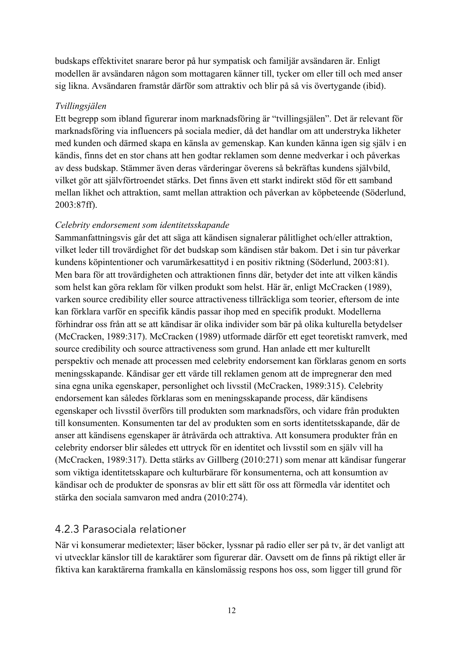budskaps effektivitet snarare beror på hur sympatisk och familjär avsändaren är. Enligt modellen är avsändaren någon som mottagaren känner till, tycker om eller till och med anser sig likna. Avsändaren framstår därför som attraktiv och blir på så vis övertygande (ibid).

#### *Tvillingsjälen*

Ett begrepp som ibland figurerar inom marknadsföring är "tvillingsjälen". Det är relevant för marknadsföring via influencers på sociala medier, då det handlar om att understryka likheter med kunden och därmed skapa en känsla av gemenskap. Kan kunden känna igen sig själv i en kändis, finns det en stor chans att hen godtar reklamen som denne medverkar i och påverkas av dess budskap. Stämmer även deras värderingar överens så bekräftas kundens självbild, vilket gör att självförtroendet stärks. Det finns även ett starkt indirekt stöd för ett samband mellan likhet och attraktion, samt mellan attraktion och påverkan av köpbeteende (Söderlund, 2003:87ff).

#### *Celebrity endorsement som identitetsskapande*

Sammanfattningsvis går det att säga att kändisen signalerar pålitlighet och/eller attraktion, vilket leder till trovärdighet för det budskap som kändisen står bakom. Det i sin tur påverkar kundens köpintentioner och varumärkesattityd i en positiv riktning (Söderlund, 2003:81). Men bara för att trovärdigheten och attraktionen finns där, betyder det inte att vilken kändis som helst kan göra reklam för vilken produkt som helst. Här är, enligt McCracken (1989), varken source credibility eller source attractiveness tillräckliga som teorier, eftersom de inte kan förklara varför en specifik kändis passar ihop med en specifik produkt. Modellerna förhindrar oss från att se att kändisar är olika individer som bär på olika kulturella betydelser (McCracken, 1989:317). McCracken (1989) utformade därför ett eget teoretiskt ramverk, med source credibility och source attractiveness som grund. Han anlade ett mer kulturellt perspektiv och menade att processen med celebrity endorsement kan förklaras genom en sorts meningsskapande. Kändisar ger ett värde till reklamen genom att de impregnerar den med sina egna unika egenskaper, personlighet och livsstil (McCracken, 1989:315). Celebrity endorsement kan således förklaras som en meningsskapande process, där kändisens egenskaper och livsstil överförs till produkten som marknadsförs, och vidare från produkten till konsumenten. Konsumenten tar del av produkten som en sorts identitetsskapande, där de anser att kändisens egenskaper är åtråvärda och attraktiva. Att konsumera produkter från en celebrity endorser blir således ett uttryck för en identitet och livsstil som en själv vill ha (McCracken, 1989:317). Detta stärks av Gillberg (2010:271) som menar att kändisar fungerar som viktiga identitetsskapare och kulturbärare för konsumenterna, och att konsumtion av kändisar och de produkter de sponsras av blir ett sätt för oss att förmedla vår identitet och stärka den sociala samvaron med andra (2010:274).

### 4.2.3 Parasociala relationer

När vi konsumerar medietexter; läser böcker, lyssnar på radio eller ser på tv, är det vanligt att vi utvecklar känslor till de karaktärer som figurerar där. Oavsett om de finns på riktigt eller är fiktiva kan karaktärerna framkalla en känslomässig respons hos oss, som ligger till grund för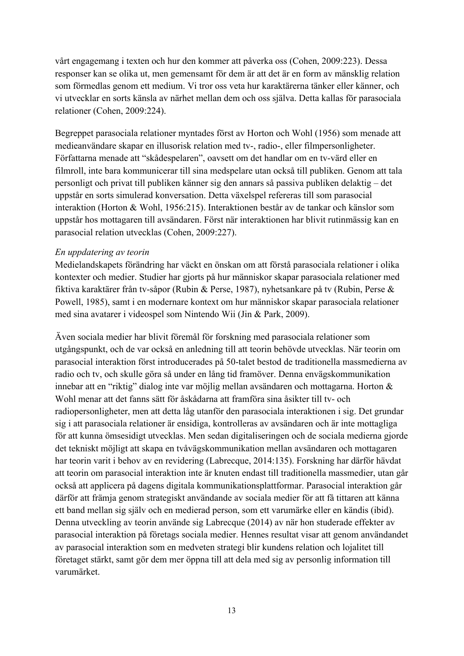vårt engagemang i texten och hur den kommer att påverka oss (Cohen, 2009:223). Dessa responser kan se olika ut, men gemensamt för dem är att det är en form av mänsklig relation som förmedlas genom ett medium. Vi tror oss veta hur karaktärerna tänker eller känner, och vi utvecklar en sorts känsla av närhet mellan dem och oss själva. Detta kallas för parasociala relationer (Cohen, 2009:224).

Begreppet parasociala relationer myntades först av Horton och Wohl (1956) som menade att medieanvändare skapar en illusorisk relation med tv-, radio-, eller filmpersonligheter. Författarna menade att "skådespelaren", oavsett om det handlar om en tv-värd eller en filmroll, inte bara kommunicerar till sina medspelare utan också till publiken. Genom att tala personligt och privat till publiken känner sig den annars så passiva publiken delaktig – det uppstår en sorts simulerad konversation. Detta växelspel refereras till som parasocial interaktion (Horton & Wohl, 1956:215). Interaktionen består av de tankar och känslor som uppstår hos mottagaren till avsändaren. Först när interaktionen har blivit rutinmässig kan en parasocial relation utvecklas (Cohen, 2009:227).

#### *En uppdatering av teorin*

Medielandskapets förändring har väckt en önskan om att förstå parasociala relationer i olika kontexter och medier. Studier har gjorts på hur människor skapar parasociala relationer med fiktiva karaktärer från tv-såpor (Rubin & Perse, 1987), nyhetsankare på tv (Rubin, Perse & Powell, 1985), samt i en modernare kontext om hur människor skapar parasociala relationer med sina avatarer i videospel som Nintendo Wii (Jin & Park, 2009).

Även sociala medier har blivit föremål för forskning med parasociala relationer som utgångspunkt, och de var också en anledning till att teorin behövde utvecklas. När teorin om parasocial interaktion först introducerades på 50-talet bestod de traditionella massmedierna av radio och tv, och skulle göra så under en lång tid framöver. Denna envägskommunikation innebar att en "riktig" dialog inte var möjlig mellan avsändaren och mottagarna. Horton & Wohl menar att det fanns sätt för åskådarna att framföra sina åsikter till tv- och radiopersonligheter, men att detta låg utanför den parasociala interaktionen i sig. Det grundar sig i att parasociala relationer är ensidiga, kontrolleras av avsändaren och är inte mottagliga för att kunna ömsesidigt utvecklas. Men sedan digitaliseringen och de sociala medierna gjorde det tekniskt möjligt att skapa en tvåvägskommunikation mellan avsändaren och mottagaren har teorin varit i behov av en revidering (Labrecque, 2014:135). Forskning har därför hävdat att teorin om parasocial interaktion inte är knuten endast till traditionella massmedier, utan går också att applicera på dagens digitala kommunikationsplattformar. Parasocial interaktion går därför att främja genom strategiskt användande av sociala medier för att få tittaren att känna ett band mellan sig själv och en medierad person, som ett varumärke eller en kändis (ibid). Denna utveckling av teorin använde sig Labrecque (2014) av när hon studerade effekter av parasocial interaktion på företags sociala medier. Hennes resultat visar att genom användandet av parasocial interaktion som en medveten strategi blir kundens relation och lojalitet till företaget stärkt, samt gör dem mer öppna till att dela med sig av personlig information till varumärket.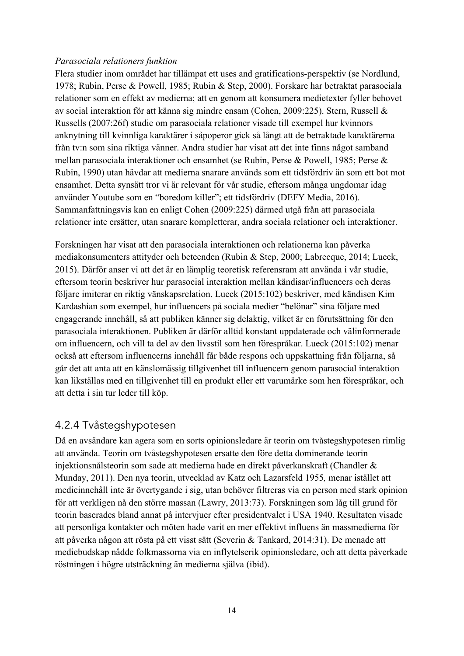#### *Parasociala relationers funktion*

Flera studier inom området har tillämpat ett uses and gratifications-perspektiv (se Nordlund, 1978; Rubin, Perse & Powell, 1985; Rubin & Step, 2000). Forskare har betraktat parasociala relationer som en effekt av medierna; att en genom att konsumera medietexter fyller behovet av social interaktion för att känna sig mindre ensam (Cohen, 2009:225). Stern, Russell & Russells (2007:26f) studie om parasociala relationer visade till exempel hur kvinnors anknytning till kvinnliga karaktärer i såpoperor gick så långt att de betraktade karaktärerna från tv:n som sina riktiga vänner. Andra studier har visat att det inte finns något samband mellan parasociala interaktioner och ensamhet (se Rubin, Perse & Powell, 1985; Perse & Rubin, 1990) utan hävdar att medierna snarare används som ett tidsfördriv än som ett bot mot ensamhet. Detta synsätt tror vi är relevant för vår studie, eftersom många ungdomar idag använder Youtube som en "boredom killer"; ett tidsfördriv (DEFY Media, 2016). Sammanfattningsvis kan en enligt Cohen (2009:225) därmed utgå från att parasociala relationer inte ersätter, utan snarare kompletterar, andra sociala relationer och interaktioner.

Forskningen har visat att den parasociala interaktionen och relationerna kan påverka mediakonsumenters attityder och beteenden (Rubin & Step, 2000; Labrecque, 2014; Lueck, 2015). Därför anser vi att det är en lämplig teoretisk referensram att använda i vår studie, eftersom teorin beskriver hur parasocial interaktion mellan kändisar/influencers och deras följare imiterar en riktig vänskapsrelation. Lueck (2015:102) beskriver, med kändisen Kim Kardashian som exempel, hur influencers på sociala medier "belönar" sina följare med engagerande innehåll, så att publiken känner sig delaktig, vilket är en förutsättning för den parasociala interaktionen. Publiken är därför alltid konstant uppdaterade och välinformerade om influencern, och vill ta del av den livsstil som hen förespråkar. Lueck (2015:102) menar också att eftersom influencerns innehåll får både respons och uppskattning från följarna, så går det att anta att en känslomässig tillgivenhet till influencern genom parasocial interaktion kan likställas med en tillgivenhet till en produkt eller ett varumärke som hen förespråkar, och att detta i sin tur leder till köp.

### 4.2.4 Tvåstegshypotesen

Då en avsändare kan agera som en sorts opinionsledare är teorin om tvåstegshypotesen rimlig att använda. Teorin om tvåstegshypotesen ersatte den före detta dominerande teorin injektionsnålsteorin som sade att medierna hade en direkt påverkanskraft (Chandler & Munday, 2011). Den nya teorin, utvecklad av Katz och Lazarsfeld 1955*,* menar istället att medieinnehåll inte är övertygande i sig, utan behöver filtreras via en person med stark opinion för att verkligen nå den större massan (Lawry, 2013:73). Forskningen som låg till grund för teorin baserades bland annat på intervjuer efter presidentvalet i USA 1940. Resultaten visade att personliga kontakter och möten hade varit en mer effektivt influens än massmedierna för att påverka någon att rösta på ett visst sätt (Severin & Tankard, 2014:31). De menade att mediebudskap nådde folkmassorna via en inflytelserik opinionsledare, och att detta påverkade röstningen i högre utsträckning än medierna själva (ibid).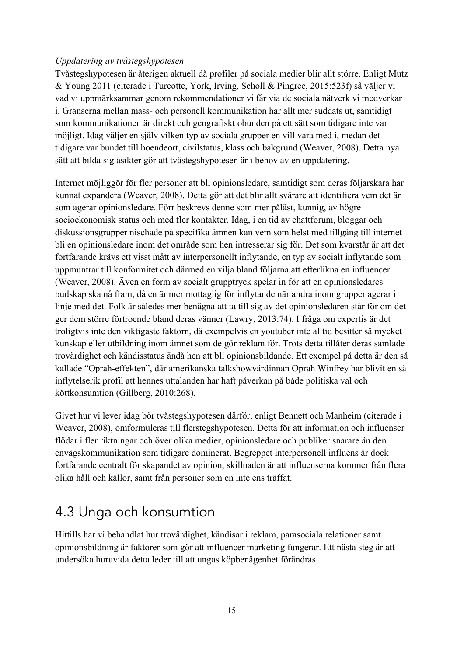#### *Uppdatering av tvåstegshypotesen*

Tvåstegshypotesen är återigen aktuell då profiler på sociala medier blir allt större. Enligt Mutz & Young 2011 (citerade i Turcotte, York, Irving, Scholl & Pingree, 2015:523f) så väljer vi vad vi uppmärksammar genom rekommendationer vi får via de sociala nätverk vi medverkar i. Gränserna mellan mass- och personell kommunikation har allt mer suddats ut, samtidigt som kommunikationen är direkt och geografiskt obunden på ett sätt som tidigare inte var möjligt. Idag väljer en själv vilken typ av sociala grupper en vill vara med i, medan det tidigare var bundet till boendeort, civilstatus, klass och bakgrund (Weaver, 2008). Detta nya sätt att bilda sig åsikter gör att tvåstegshypotesen är i behov av en uppdatering.

Internet möjliggör för fler personer att bli opinionsledare, samtidigt som deras följarskara har kunnat expandera (Weaver, 2008). Detta gör att det blir allt svårare att identifiera vem det är som agerar opinionsledare. Förr beskrevs denne som mer påläst, kunnig, av högre socioekonomisk status och med fler kontakter. Idag, i en tid av chattforum, bloggar och diskussionsgrupper nischade på specifika ämnen kan vem som helst med tillgång till internet bli en opinionsledare inom det område som hen intresserar sig för. Det som kvarstår är att det fortfarande krävs ett visst mått av interpersonellt inflytande, en typ av socialt inflytande som uppmuntrar till konformitet och därmed en vilja bland följarna att efterlikna en influencer (Weaver, 2008). Även en form av socialt grupptryck spelar in för att en opinionsledares budskap ska nå fram, då en är mer mottaglig för inflytande när andra inom grupper agerar i linje med det. Folk är således mer benägna att ta till sig av det opinionsledaren står för om det ger dem större förtroende bland deras vänner (Lawry, 2013:74). I fråga om expertis är det troligtvis inte den viktigaste faktorn, då exempelvis en youtuber inte alltid besitter så mycket kunskap eller utbildning inom ämnet som de gör reklam för. Trots detta tillåter deras samlade trovärdighet och kändisstatus ändå hen att bli opinionsbildande. Ett exempel på detta är den så kallade "Oprah-effekten", där amerikanska talkshowvärdinnan Oprah Winfrey har blivit en så inflytelserik profil att hennes uttalanden har haft påverkan på både politiska val och köttkonsumtion (Gillberg, 2010:268).

Givet hur vi lever idag bör tvåstegshypotesen därför, enligt Bennett och Manheim (citerade i Weaver, 2008), omformuleras till flerstegshypotesen. Detta för att information och influenser flödar i fler riktningar och över olika medier, opinionsledare och publiker snarare än den envägskommunikation som tidigare dominerat. Begreppet interpersonell influens är dock fortfarande centralt för skapandet av opinion, skillnaden är att influenserna kommer från flera olika håll och källor, samt från personer som en inte ens träffat.

# 4.3 Unga och konsumtion

Hittills har vi behandlat hur trovärdighet, kändisar i reklam, parasociala relationer samt opinionsbildning är faktorer som gör att influencer marketing fungerar. Ett nästa steg är att undersöka huruvida detta leder till att ungas köpbenägenhet förändras.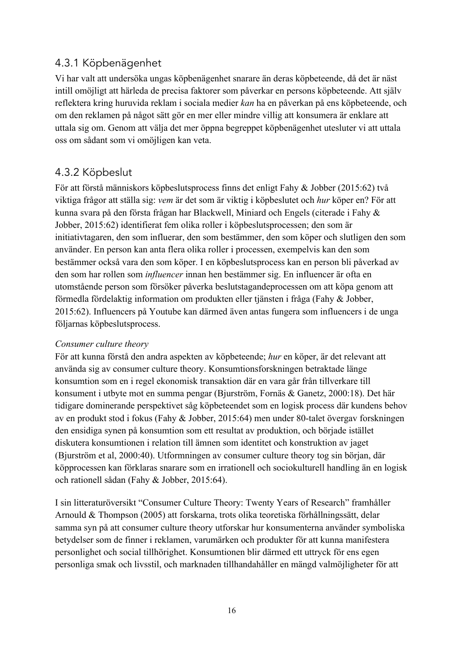### 4.3.1 Köpbenägenhet

Vi har valt att undersöka ungas köpbenägenhet snarare än deras köpbeteende, då det är näst intill omöjligt att härleda de precisa faktorer som påverkar en persons köpbeteende. Att själv reflektera kring huruvida reklam i sociala medier *kan* ha en påverkan på ens köpbeteende, och om den reklamen på något sätt gör en mer eller mindre villig att konsumera är enklare att uttala sig om. Genom att välja det mer öppna begreppet köpbenägenhet utesluter vi att uttala oss om sådant som vi omöjligen kan veta.

### 4.3.2 Köpbeslut

För att förstå människors köpbeslutsprocess finns det enligt Fahy & Jobber (2015:62) två viktiga frågor att ställa sig: *vem* är det som är viktig i köpbeslutet och *hur* köper en? För att kunna svara på den första frågan har Blackwell, Miniard och Engels (citerade i Fahy & Jobber, 2015:62) identifierat fem olika roller i köpbeslutsprocessen; den som är initiativtagaren, den som influerar, den som bestämmer, den som köper och slutligen den som använder. En person kan anta flera olika roller i processen, exempelvis kan den som bestämmer också vara den som köper. I en köpbeslutsprocess kan en person bli påverkad av den som har rollen som *influencer* innan hen bestämmer sig. En influencer är ofta en utomstående person som försöker påverka beslutstagandeprocessen om att köpa genom att förmedla fördelaktig information om produkten eller tjänsten i fråga (Fahy & Jobber, 2015:62). Influencers på Youtube kan därmed även antas fungera som influencers i de unga följarnas köpbeslutsprocess.

#### *Consumer culture theory*

För att kunna förstå den andra aspekten av köpbeteende; *hur* en köper, är det relevant att använda sig av consumer culture theory. Konsumtionsforskningen betraktade länge konsumtion som en i regel ekonomisk transaktion där en vara går från tillverkare till konsument i utbyte mot en summa pengar (Bjurström, Fornäs & Ganetz, 2000:18). Det här tidigare dominerande perspektivet såg köpbeteendet som en logisk process där kundens behov av en produkt stod i fokus (Fahy & Jobber, 2015:64) men under 80-talet övergav forskningen den ensidiga synen på konsumtion som ett resultat av produktion, och började istället diskutera konsumtionen i relation till ämnen som identitet och konstruktion av jaget (Bjurström et al, 2000:40). Utformningen av consumer culture theory tog sin början, där köpprocessen kan förklaras snarare som en irrationell och sociokulturell handling än en logisk och rationell sådan (Fahy & Jobber, 2015:64).

I sin litteraturöversikt "Consumer Culture Theory: Twenty Years of Research" framhåller Arnould & Thompson (2005) att forskarna, trots olika teoretiska förhållningssätt, delar samma syn på att consumer culture theory utforskar hur konsumenterna använder symboliska betydelser som de finner i reklamen, varumärken och produkter för att kunna manifestera personlighet och social tillhörighet. Konsumtionen blir därmed ett uttryck för ens egen personliga smak och livsstil, och marknaden tillhandahåller en mängd valmöjligheter för att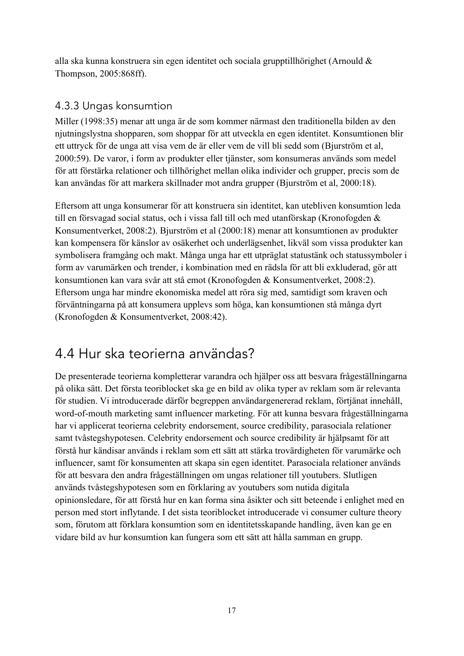alla ska kunna konstruera sin egen identitet och sociala grupptillhörighet (Arnould & Thompson, 2005:868ff).

### 4.3.3 Ungas konsumtion

Miller (1998:35) menar att unga är de som kommer närmast den traditionella bilden av den njutningslystna shopparen, som shoppar för att utveckla en egen identitet. Konsumtionen blir ett uttryck för de unga att visa vem de är eller vem de vill bli sedd som (Bjurström et al, 2000:59). De varor, i form av produkter eller tjänster, som konsumeras används som medel för att förstärka relationer och tillhörighet mellan olika individer och grupper, precis som de kan användas för att markera skillnader mot andra grupper (Bjurström et al, 2000:18).

Eftersom att unga konsumerar för att konstruera sin identitet, kan utebliven konsumtion leda till en försvagad social status, och i vissa fall till och med utanförskap (Kronofogden & Konsumentverket, 2008:2). Bjurström et al (2000:18) menar att konsumtionen av produkter kan kompensera för känslor av osäkerhet och underlägsenhet, likväl som vissa produkter kan symbolisera framgång och makt. Många unga har ett utpräglat statustänk och statussymboler i form av varumärken och trender, i kombination med en rädsla för att bli exkluderad, gör att konsumtionen kan vara svår att stå emot (Kronofogden & Konsumentverket, 2008:2). Eftersom unga har mindre ekonomiska medel att röra sig med, samtidigt som kraven och förväntningarna på att konsumera upplevs som höga, kan konsumtionen stå många dyrt (Kronofogden & Konsumentverket, 2008:42).

# 4.4 Hur ska teorierna användas?

De presenterade teorierna kompletterar varandra och hjälper oss att besvara frågeställningarna på olika sätt. Det första teoriblocket ska ge en bild av olika typer av reklam som är relevanta för studien. Vi introducerade därför begreppen användargenererad reklam, förtjänat innehåll, word-of-mouth marketing samt influencer marketing. För att kunna besvara frågeställningarna har vi applicerat teorierna celebrity endorsement, source credibility, parasociala relationer samt tvåstegshypotesen. Celebrity endorsement och source credibility är hjälpsamt för att förstå hur kändisar används i reklam som ett sätt att stärka trovärdigheten för varumärke och influencer, samt för konsumenten att skapa sin egen identitet. Parasociala relationer används för att besvara den andra frågeställningen om ungas relationer till youtubers. Slutligen används tvåstegshypotesen som en förklaring av youtubers som nutida digitala opinionsledare, för att förstå hur en kan forma sina åsikter och sitt beteende i enlighet med en person med stort inflytande. I det sista teoriblocket introducerade vi consumer culture theory som, förutom att förklara konsumtion som en identitetsskapande handling, även kan ge en vidare bild av hur konsumtion kan fungera som ett sätt att hålla samman en grupp.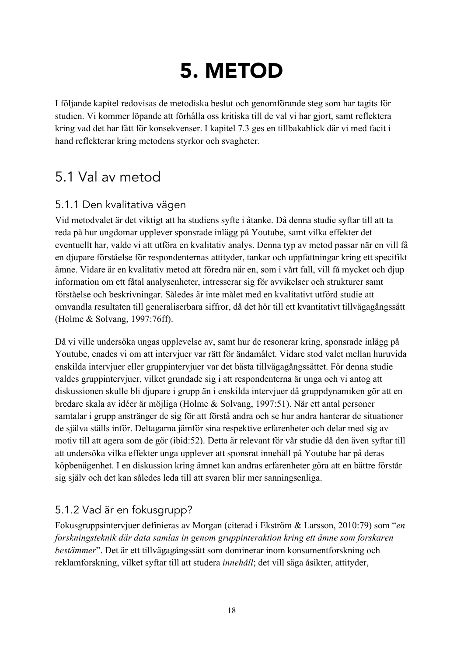# 5. METOD

I följande kapitel redovisas de metodiska beslut och genomförande steg som har tagits för studien. Vi kommer löpande att förhålla oss kritiska till de val vi har gjort, samt reflektera kring vad det har fått för konsekvenser. I kapitel 7.3 ges en tillbakablick där vi med facit i hand reflekterar kring metodens styrkor och svagheter.

# 5.1 Val av metod

### 5.1.1 Den kvalitativa vägen

Vid metodvalet är det viktigt att ha studiens syfte i åtanke. Då denna studie syftar till att ta reda på hur ungdomar upplever sponsrade inlägg på Youtube, samt vilka effekter det eventuellt har, valde vi att utföra en kvalitativ analys. Denna typ av metod passar när en vill få en djupare förståelse för respondenternas attityder, tankar och uppfattningar kring ett specifikt ämne. Vidare är en kvalitativ metod att föredra när en, som i vårt fall, vill få mycket och djup information om ett fåtal analysenheter, intresserar sig för avvikelser och strukturer samt förståelse och beskrivningar. Således är inte målet med en kvalitativt utförd studie att omvandla resultaten till generaliserbara siffror, då det hör till ett kvantitativt tillvägagångssätt (Holme & Solvang, 1997:76ff).

Då vi ville undersöka ungas upplevelse av, samt hur de resonerar kring, sponsrade inlägg på Youtube, enades vi om att intervjuer var rätt för ändamålet. Vidare stod valet mellan huruvida enskilda intervjuer eller gruppintervjuer var det bästa tillvägagångssättet. För denna studie valdes gruppintervjuer, vilket grundade sig i att respondenterna är unga och vi antog att diskussionen skulle bli djupare i grupp än i enskilda intervjuer då gruppdynamiken gör att en bredare skala av idéer är möjliga (Holme & Solvang, 1997:51). När ett antal personer samtalar i grupp anstränger de sig för att förstå andra och se hur andra hanterar de situationer de själva ställs inför. Deltagarna jämför sina respektive erfarenheter och delar med sig av motiv till att agera som de gör (ibid:52). Detta är relevant för vår studie då den även syftar till att undersöka vilka effekter unga upplever att sponsrat innehåll på Youtube har på deras köpbenägenhet. I en diskussion kring ämnet kan andras erfarenheter göra att en bättre förstår sig själv och det kan således leda till att svaren blir mer sanningsenliga.

## 5.1.2 Vad är en fokusgrupp?

Fokusgruppsintervjuer definieras av Morgan (citerad i Ekström & Larsson, 2010:79) som "*en forskningsteknik där data samlas in genom gruppinteraktion kring ett ämne som forskaren bestämmer*". Det är ett tillvägagångssätt som dominerar inom konsumentforskning och reklamforskning, vilket syftar till att studera *innehåll*; det vill säga åsikter, attityder,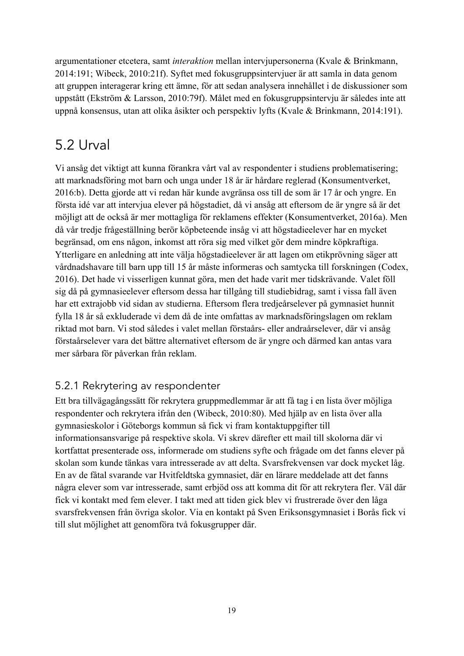argumentationer etcetera, samt *interaktion* mellan intervjupersonerna (Kvale & Brinkmann, 2014:191; Wibeck, 2010:21f). Syftet med fokusgruppsintervjuer är att samla in data genom att gruppen interagerar kring ett ämne, för att sedan analysera innehållet i de diskussioner som uppstått (Ekström & Larsson, 2010:79f). Målet med en fokusgruppsintervju är således inte att uppnå konsensus, utan att olika åsikter och perspektiv lyfts (Kvale & Brinkmann, 2014:191).

# 5.2 Urval

Vi ansåg det viktigt att kunna förankra vårt val av respondenter i studiens problematisering; att marknadsföring mot barn och unga under 18 år är hårdare reglerad (Konsumentverket, 2016:b). Detta gjorde att vi redan här kunde avgränsa oss till de som är 17 år och yngre. En första idé var att intervjua elever på högstadiet, då vi ansåg att eftersom de är yngre så är det möjligt att de också är mer mottagliga för reklamens effekter (Konsumentverket, 2016a). Men då vår tredje frågeställning berör köpbeteende insåg vi att högstadieelever har en mycket begränsad, om ens någon, inkomst att röra sig med vilket gör dem mindre köpkraftiga. Ytterligare en anledning att inte välja högstadieelever är att lagen om etikprövning säger att vårdnadshavare till barn upp till 15 år måste informeras och samtycka till forskningen (Codex, 2016). Det hade vi visserligen kunnat göra, men det hade varit mer tidskrävande. Valet föll sig då på gymnasieelever eftersom dessa har tillgång till studiebidrag, samt i vissa fall även har ett extrajobb vid sidan av studierna. Eftersom flera tredjeårselever på gymnasiet hunnit fylla 18 år så exkluderade vi dem då de inte omfattas av marknadsföringslagen om reklam riktad mot barn. Vi stod således i valet mellan förstaårs- eller andraårselever, där vi ansåg förstaårselever vara det bättre alternativet eftersom de är yngre och därmed kan antas vara mer sårbara för påverkan från reklam.

## 5.2.1 Rekrytering av respondenter

Ett bra tillvägagångssätt för rekrytera gruppmedlemmar är att få tag i en lista över möjliga respondenter och rekrytera ifrån den (Wibeck, 2010:80). Med hjälp av en lista över alla gymnasieskolor i Göteborgs kommun så fick vi fram kontaktuppgifter till informationsansvarige på respektive skola. Vi skrev därefter ett mail till skolorna där vi kortfattat presenterade oss, informerade om studiens syfte och frågade om det fanns elever på skolan som kunde tänkas vara intresserade av att delta. Svarsfrekvensen var dock mycket låg. En av de fåtal svarande var Hvitfeldtska gymnasiet, där en lärare meddelade att det fanns några elever som var intresserade, samt erbjöd oss att komma dit för att rekrytera fler. Väl där fick vi kontakt med fem elever. I takt med att tiden gick blev vi frustrerade över den låga svarsfrekvensen från övriga skolor. Via en kontakt på Sven Eriksonsgymnasiet i Borås fick vi till slut möjlighet att genomföra två fokusgrupper där.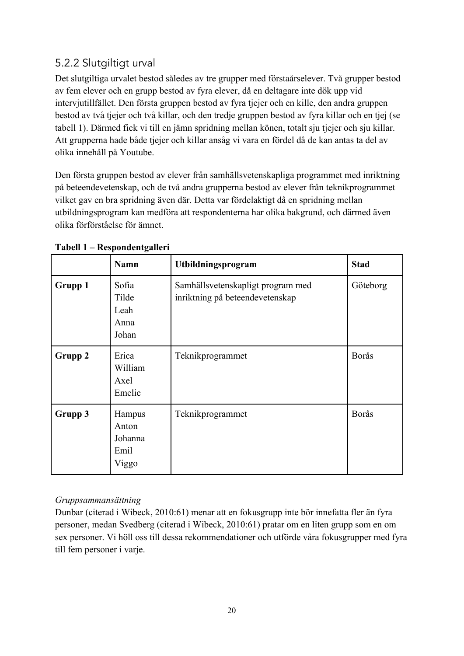# 5.2.2 Slutgiltigt urval

Det slutgiltiga urvalet bestod således av tre grupper med förstaårselever. Två grupper bestod av fem elever och en grupp bestod av fyra elever, då en deltagare inte dök upp vid intervjutillfället. Den första gruppen bestod av fyra tjejer och en kille, den andra gruppen bestod av två tjejer och två killar, och den tredje gruppen bestod av fyra killar och en tjej (se tabell 1). Därmed fick vi till en jämn spridning mellan könen, totalt sju tjejer och sju killar. Att grupperna hade både tjejer och killar ansåg vi vara en fördel då de kan antas ta del av olika innehåll på Youtube.

Den första gruppen bestod av elever från samhällsvetenskapliga programmet med inriktning på beteendevetenskap, och de två andra grupperna bestod av elever från teknikprogrammet vilket gav en bra spridning även där. Detta var fördelaktigt då en spridning mellan utbildningsprogram kan medföra att respondenterna har olika bakgrund, och därmed även olika förförståelse för ämnet.

|         | <b>Namn</b>                                 | Utbildningsprogram                                                   | <b>Stad</b> |
|---------|---------------------------------------------|----------------------------------------------------------------------|-------------|
| Grupp 1 | Sofia<br>Tilde<br>Leah<br>Anna<br>Johan     | Samhällsvetenskapligt program med<br>inriktning på beteendevetenskap | Göteborg    |
| Grupp 2 | Erica<br>William<br>Axel<br>Emelie          | Teknikprogrammet                                                     | Borås       |
| Grupp 3 | Hampus<br>Anton<br>Johanna<br>Emil<br>Viggo | Teknikprogrammet                                                     | Borås       |

**Tabell 1 – Respondentgalleri**

#### *Gruppsammansättning*

Dunbar (citerad i Wibeck, 2010:61) menar att en fokusgrupp inte bör innefatta fler än fyra personer, medan Svedberg (citerad i Wibeck, 2010:61) pratar om en liten grupp som en om sex personer. Vi höll oss till dessa rekommendationer och utförde våra fokusgrupper med fyra till fem personer i varje.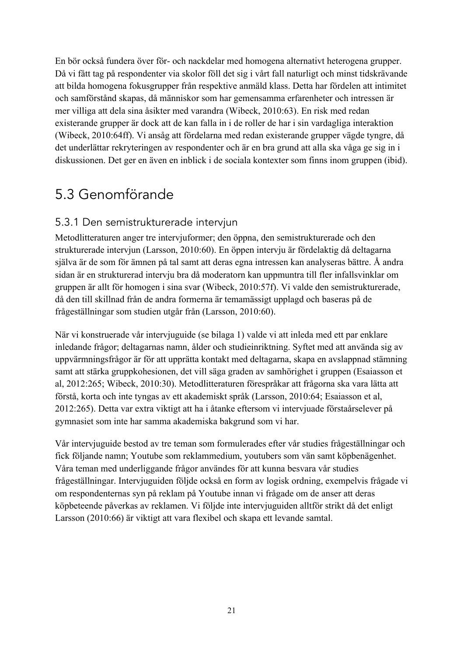En bör också fundera över för- och nackdelar med homogena alternativt heterogena grupper. Då vi fått tag på respondenter via skolor föll det sig i vårt fall naturligt och minst tidskrävande att bilda homogena fokusgrupper från respektive anmäld klass. Detta har fördelen att intimitet och samförstånd skapas, då människor som har gemensamma erfarenheter och intressen är mer villiga att dela sina åsikter med varandra (Wibeck, 2010:63). En risk med redan existerande grupper är dock att de kan falla in i de roller de har i sin vardagliga interaktion (Wibeck, 2010:64ff). Vi ansåg att fördelarna med redan existerande grupper vägde tyngre, då det underlättar rekryteringen av respondenter och är en bra grund att alla ska våga ge sig in i diskussionen. Det ger en även en inblick i de sociala kontexter som finns inom gruppen (ibid).

# 5.3 Genomförande

### 5.3.1 Den semistrukturerade intervjun

Metodlitteraturen anger tre intervjuformer; den öppna, den semistrukturerade och den strukturerade intervjun (Larsson, 2010:60). En öppen intervju är fördelaktig då deltagarna själva är de som för ämnen på tal samt att deras egna intressen kan analyseras bättre. Å andra sidan är en strukturerad intervju bra då moderatorn kan uppmuntra till fler infallsvinklar om gruppen är allt för homogen i sina svar (Wibeck, 2010:57f). Vi valde den semistrukturerade, då den till skillnad från de andra formerna är temamässigt upplagd och baseras på de frågeställningar som studien utgår från (Larsson, 2010:60).

När vi konstruerade vår intervjuguide (se bilaga 1) valde vi att inleda med ett par enklare inledande frågor; deltagarnas namn, ålder och studieinriktning. Syftet med att använda sig av uppvärmningsfrågor är för att upprätta kontakt med deltagarna, skapa en avslappnad stämning samt att stärka gruppkohesionen, det vill säga graden av samhörighet i gruppen (Esaiasson et al, 2012:265; Wibeck, 2010:30). Metodlitteraturen förespråkar att frågorna ska vara lätta att förstå, korta och inte tyngas av ett akademiskt språk (Larsson, 2010:64; Esaiasson et al, 2012:265). Detta var extra viktigt att ha i åtanke eftersom vi intervjuade förstaårselever på gymnasiet som inte har samma akademiska bakgrund som vi har.

Vår intervjuguide bestod av tre teman som formulerades efter vår studies frågeställningar och fick följande namn; Youtube som reklammedium, youtubers som vän samt köpbenägenhet. Våra teman med underliggande frågor användes för att kunna besvara vår studies frågeställningar. Intervjuguiden följde också en form av logisk ordning, exempelvis frågade vi om respondenternas syn på reklam på Youtube innan vi frågade om de anser att deras köpbeteende påverkas av reklamen. Vi följde inte intervjuguiden alltför strikt då det enligt Larsson (2010:66) är viktigt att vara flexibel och skapa ett levande samtal.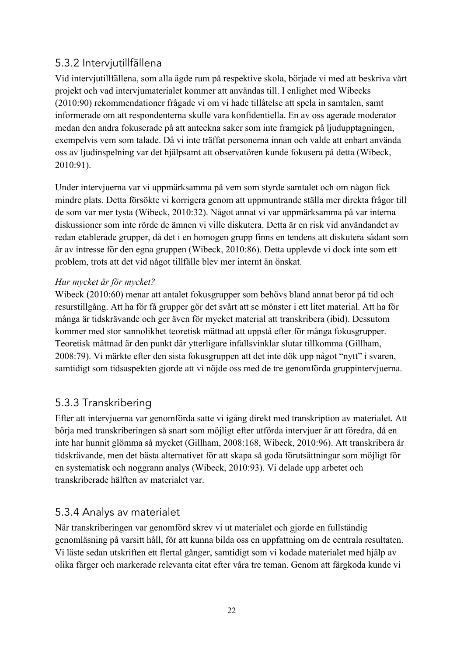## 5.3.2 Intervjutillfällena

Vid intervjutillfällena, som alla ägde rum på respektive skola, började vi med att beskriva vårt projekt och vad intervjumaterialet kommer att användas till. I enlighet med Wibecks (2010:90) rekommendationer frågade vi om vi hade tillåtelse att spela in samtalen, samt informerade om att respondenterna skulle vara konfidentiella. En av oss agerade moderator medan den andra fokuserade på att anteckna saker som inte framgick på ljudupptagningen, exempelvis vem som talade. Då vi inte träffat personerna innan och valde att enbart använda oss av ljudinspelning var det hjälpsamt att observatören kunde fokusera på detta (Wibeck, 2010:91).

Under intervjuerna var vi uppmärksamma på vem som styrde samtalet och om någon fick mindre plats. Detta försökte vi korrigera genom att uppmuntrande ställa mer direkta frågor till de som var mer tysta (Wibeck, 2010:32). Något annat vi var uppmärksamma på var interna diskussioner som inte rörde de ämnen vi ville diskutera. Detta är en risk vid användandet av redan etablerade grupper, då det i en homogen grupp finns en tendens att diskutera sådant som är av intresse för den egna gruppen (Wibeck, 2010:86). Detta upplevde vi dock inte som ett problem, trots att det vid något tillfälle blev mer internt än önskat.

#### *Hur mycket är för mycket?*

Wibeck (2010:60) menar att antalet fokusgrupper som behövs bland annat beror på tid och resurstillgång. Att ha för få grupper gör det svårt att se mönster i ett litet material. Att ha för många är tidskrävande och ger även för mycket material att transkribera (ibid). Dessutom kommer med stor sannolikhet teoretisk mättnad att uppstå efter för många fokusgrupper. Teoretisk mättnad är den punkt där ytterligare infallsvinklar slutar tillkomma (Gillham, 2008:79). Vi märkte efter den sista fokusgruppen att det inte dök upp något "nytt" i svaren, samtidigt som tidsaspekten gjorde att vi nöjde oss med de tre genomförda gruppintervjuerna.

## 5.3.3 Transkribering

Efter att intervjuerna var genomförda satte vi igång direkt med transkription av materialet. Att börja med transkriberingen så snart som möjligt efter utförda intervjuer är att föredra, då en inte har hunnit glömma så mycket (Gillham, 2008:168, Wibeck, 2010:96). Att transkribera är tidskrävande, men det bästa alternativet för att skapa så goda förutsättningar som möjligt för en systematisk och noggrann analys (Wibeck, 2010:93). Vi delade upp arbetet och transkriberade hälften av materialet var.

### 5.3.4 Analys av materialet

När transkriberingen var genomförd skrev vi ut materialet och gjorde en fullständig genomläsning på varsitt håll, för att kunna bilda oss en uppfattning om de centrala resultaten. Vi läste sedan utskriften ett flertal gånger, samtidigt som vi kodade materialet med hjälp av olika färger och markerade relevanta citat efter våra tre teman. Genom att färgkoda kunde vi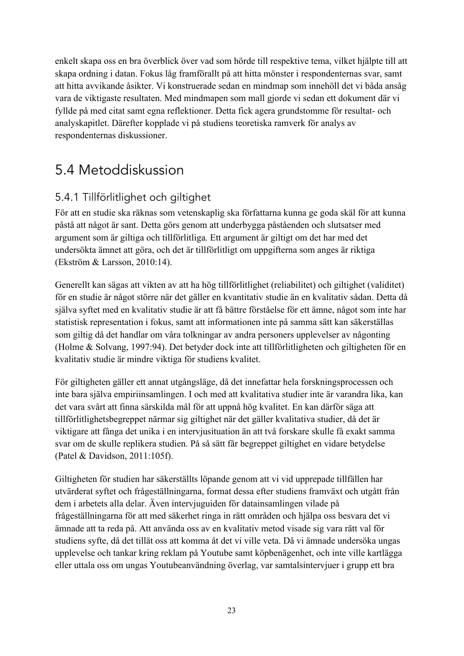enkelt skapa oss en bra överblick över vad som hörde till respektive tema, vilket hjälpte till att skapa ordning i datan. Fokus låg framförallt på att hitta mönster i respondenternas svar, samt att hitta avvikande åsikter. Vi konstruerade sedan en mindmap som innehöll det vi båda ansåg vara de viktigaste resultaten. Med mindmapen som mall gjorde vi sedan ett dokument där vi fyllde på med citat samt egna reflektioner. Detta fick agera grundstomme för resultat- och analyskapitlet. Därefter kopplade vi på studiens teoretiska ramverk för analys av respondenternas diskussioner.

# 5.4 Metoddiskussion

## 5.4.1 Tillförlitlighet och giltighet

För att en studie ska räknas som vetenskaplig ska författarna kunna ge goda skäl för att kunna påstå att något är sant. Detta görs genom att underbygga påståenden och slutsatser med argument som är giltiga och tillförlitliga*.* Ett argument är giltigt om det har med det undersökta ämnet att göra, och det är tillförlitligt om uppgifterna som anges är riktiga (Ekström & Larsson, 2010:14).

Generellt kan sägas att vikten av att ha hög tillförlitlighet (reliabilitet) och giltighet (validitet) för en studie är något större när det gäller en kvantitativ studie än en kvalitativ sådan. Detta då själva syftet med en kvalitativ studie är att få bättre förståelse för ett ämne, något som inte har statistisk representation i fokus, samt att informationen inte på samma sätt kan säkerställas som giltig då det handlar om våra tolkningar av andra personers upplevelser av någonting (Holme & Solvang, 1997:94). Det betyder dock inte att tillförlitligheten och giltigheten för en kvalitativ studie är mindre viktiga för studiens kvalitet.

För giltigheten gäller ett annat utgångsläge, då det innefattar hela forskningsprocessen och inte bara själva empiriinsamlingen. I och med att kvalitativa studier inte är varandra lika, kan det vara svårt att finna särskilda mål för att uppnå hög kvalitet. En kan därför säga att tillförlitlighetsbegreppet närmar sig giltighet när det gäller kvalitativa studier, då det är viktigare att fånga det unika i en intervjusituation än att två forskare skulle få exakt samma svar om de skulle replikera studien. På så sätt får begreppet giltighet en vidare betydelse (Patel & Davidson, 2011:105f).

Giltigheten för studien har säkerställts löpande genom att vi vid upprepade tillfällen har utvärderat syftet och frågeställningarna, format dessa efter studiens framväxt och utgått från dem i arbetets alla delar. Även intervjuguiden för datainsamlingen vilade på frågeställningarna för att med säkerhet ringa in rätt områden och hjälpa oss besvara det vi ämnade att ta reda på. Att använda oss av en kvalitativ metod visade sig vara rätt val för studiens syfte, då det tillät oss att komma åt det vi ville veta. Då vi ämnade undersöka ungas upplevelse och tankar kring reklam på Youtube samt köpbenägenhet, och inte ville kartlägga eller uttala oss om ungas Youtubeanvändning överlag, var samtalsintervjuer i grupp ett bra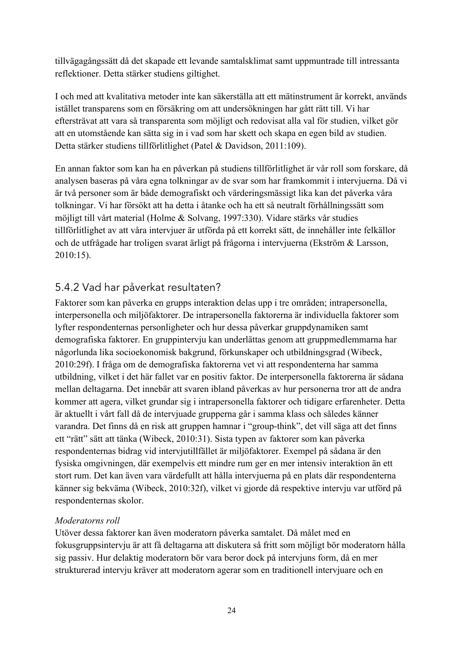tillvägagångssätt då det skapade ett levande samtalsklimat samt uppmuntrade till intressanta reflektioner. Detta stärker studiens giltighet.

I och med att kvalitativa metoder inte kan säkerställa att ett mätinstrument är korrekt, används istället transparens som en försäkring om att undersökningen har gått rätt till. Vi har eftersträvat att vara så transparenta som möjligt och redovisat alla val för studien, vilket gör att en utomstående kan sätta sig in i vad som har skett och skapa en egen bild av studien. Detta stärker studiens tillförlitlighet (Patel & Davidson, 2011:109).

En annan faktor som kan ha en påverkan på studiens tillförlitlighet är vår roll som forskare, då analysen baseras på våra egna tolkningar av de svar som har framkommit i intervjuerna. Då vi är två personer som är både demografiskt och värderingsmässigt lika kan det påverka våra tolkningar. Vi har försökt att ha detta i åtanke och ha ett så neutralt förhållningssätt som möjligt till vårt material (Holme & Solvang, 1997:330). Vidare stärks vår studies tillförlitlighet av att våra intervjuer är utförda på ett korrekt sätt, de innehåller inte felkällor och de utfrågade har troligen svarat ärligt på frågorna i intervjuerna (Ekström & Larsson, 2010:15).

## 5.4.2 Vad har påverkat resultaten?

Faktorer som kan påverka en grupps interaktion delas upp i tre områden; intrapersonella, interpersonella och miljöfaktorer. De intrapersonella faktorerna är individuella faktorer som lyfter respondenternas personligheter och hur dessa påverkar gruppdynamiken samt demografiska faktorer. En gruppintervju kan underlättas genom att gruppmedlemmarna har någorlunda lika socioekonomisk bakgrund, förkunskaper och utbildningsgrad (Wibeck, 2010:29f). I fråga om de demografiska faktorerna vet vi att respondenterna har samma utbildning, vilket i det här fallet var en positiv faktor. De interpersonella faktorerna är sådana mellan deltagarna. Det innebär att svaren ibland påverkas av hur personerna tror att de andra kommer att agera, vilket grundar sig i intrapersonella faktorer och tidigare erfarenheter. Detta är aktuellt i vårt fall då de intervjuade grupperna går i samma klass och således känner varandra. Det finns då en risk att gruppen hamnar i "group-think", det vill säga att det finns ett "rätt" sätt att tänka (Wibeck, 2010:31). Sista typen av faktorer som kan påverka respondenternas bidrag vid intervjutillfället är miljöfaktorer. Exempel på sådana är den fysiska omgivningen, där exempelvis ett mindre rum ger en mer intensiv interaktion än ett stort rum. Det kan även vara värdefullt att hålla intervjuerna på en plats där respondenterna känner sig bekväma (Wibeck, 2010:32f), vilket vi gjorde då respektive intervju var utförd på respondenternas skolor.

#### *Moderatorns roll*

Utöver dessa faktorer kan även moderatorn påverka samtalet. Då målet med en fokusgruppsintervju är att få deltagarna att diskutera så fritt som möjligt bör moderatorn hålla sig passiv. Hur delaktig moderatorn bör vara beror dock på intervjuns form, då en mer strukturerad intervju kräver att moderatorn agerar som en traditionell intervjuare och en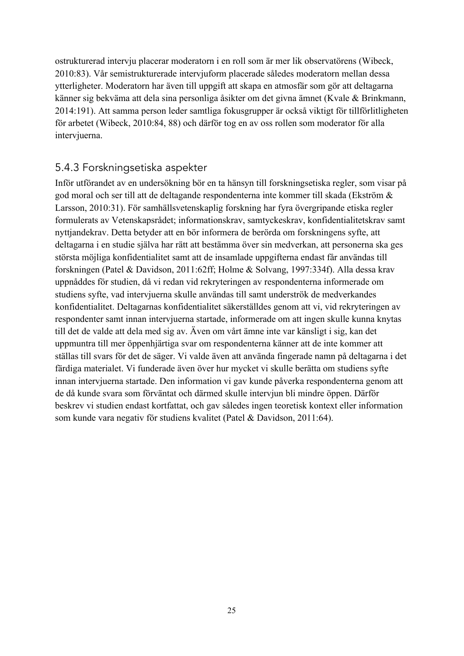ostrukturerad intervju placerar moderatorn i en roll som är mer lik observatörens (Wibeck, 2010:83). Vår semistrukturerade intervjuform placerade således moderatorn mellan dessa ytterligheter. Moderatorn har även till uppgift att skapa en atmosfär som gör att deltagarna känner sig bekväma att dela sina personliga åsikter om det givna ämnet (Kvale & Brinkmann, 2014:191). Att samma person leder samtliga fokusgrupper är också viktigt för tillförlitligheten för arbetet (Wibeck, 2010:84, 88) och därför tog en av oss rollen som moderator för alla intervjuerna.

### 5.4.3 Forskningsetiska aspekter

Inför utförandet av en undersökning bör en ta hänsyn till forskningsetiska regler, som visar på god moral och ser till att de deltagande respondenterna inte kommer till skada (Ekström & Larsson, 2010:31). För samhällsvetenskaplig forskning har fyra övergripande etiska regler formulerats av Vetenskapsrådet; informationskrav, samtyckeskrav, konfidentialitetskrav samt nyttjandekrav. Detta betyder att en bör informera de berörda om forskningens syfte, att deltagarna i en studie själva har rätt att bestämma över sin medverkan, att personerna ska ges största möjliga konfidentialitet samt att de insamlade uppgifterna endast får användas till forskningen (Patel & Davidson, 2011:62ff; Holme & Solvang, 1997:334f). Alla dessa krav uppnåddes för studien, då vi redan vid rekryteringen av respondenterna informerade om studiens syfte, vad intervjuerna skulle användas till samt underströk de medverkandes konfidentialitet. Deltagarnas konfidentialitet säkerställdes genom att vi, vid rekryteringen av respondenter samt innan intervjuerna startade, informerade om att ingen skulle kunna knytas till det de valde att dela med sig av. Även om vårt ämne inte var känsligt i sig, kan det uppmuntra till mer öppenhjärtiga svar om respondenterna känner att de inte kommer att ställas till svars för det de säger. Vi valde även att använda fingerade namn på deltagarna i det färdiga materialet. Vi funderade även över hur mycket vi skulle berätta om studiens syfte innan intervjuerna startade. Den information vi gav kunde påverka respondenterna genom att de då kunde svara som förväntat och därmed skulle intervjun bli mindre öppen. Därför beskrev vi studien endast kortfattat, och gav således ingen teoretisk kontext eller information som kunde vara negativ för studiens kvalitet (Patel & Davidson, 2011:64).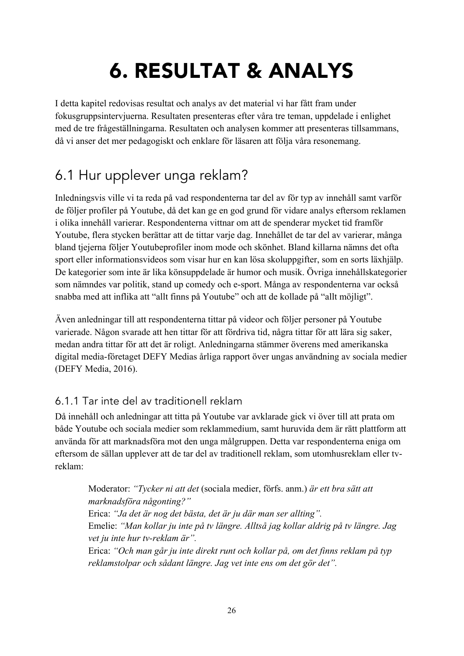# 6. RESULTAT & ANALYS

I detta kapitel redovisas resultat och analys av det material vi har fått fram under fokusgruppsintervjuerna. Resultaten presenteras efter våra tre teman, uppdelade i enlighet med de tre frågeställningarna. Resultaten och analysen kommer att presenteras tillsammans, då vi anser det mer pedagogiskt och enklare för läsaren att följa våra resonemang.

# 6.1 Hur upplever unga reklam?

Inledningsvis ville vi ta reda på vad respondenterna tar del av för typ av innehåll samt varför de följer profiler på Youtube, då det kan ge en god grund för vidare analys eftersom reklamen i olika innehåll varierar. Respondenterna vittnar om att de spenderar mycket tid framför Youtube, flera stycken berättar att de tittar varje dag. Innehållet de tar del av varierar, många bland tjejerna följer Youtubeprofiler inom mode och skönhet. Bland killarna nämns det ofta sport eller informationsvideos som visar hur en kan lösa skoluppgifter, som en sorts läxhjälp. De kategorier som inte är lika könsuppdelade är humor och musik. Övriga innehållskategorier som nämndes var politik, stand up comedy och e-sport. Många av respondenterna var också snabba med att inflika att "allt finns på Youtube" och att de kollade på "allt möjligt".

Även anledningar till att respondenterna tittar på videor och följer personer på Youtube varierade. Någon svarade att hen tittar för att fördriva tid, några tittar för att lära sig saker, medan andra tittar för att det är roligt. Anledningarna stämmer överens med amerikanska digital media-företaget DEFY Medias årliga rapport över ungas användning av sociala medier (DEFY Media, 2016).

## 6.1.1 Tar inte del av traditionell reklam

Då innehåll och anledningar att titta på Youtube var avklarade gick vi över till att prata om både Youtube och sociala medier som reklammedium, samt huruvida dem är rätt plattform att använda för att marknadsföra mot den unga målgruppen. Detta var respondenterna eniga om eftersom de sällan upplever att de tar del av traditionell reklam, som utomhusreklam eller tvreklam:

Moderator: *"Tycker ni att det* (sociala medier, förfs. anm.) *är ett bra sätt att marknadsföra någonting?"*  Erica: *"Ja det är nog det bästa, det är ju där man ser allting".*  Emelie: *"Man kollar ju inte på tv längre. Alltså jag kollar aldrig på tv längre. Jag vet ju inte hur tv-reklam är".* Erica: *"Och man går ju inte direkt runt och kollar på, om det finns reklam på typ reklamstolpar och sådant längre. Jag vet inte ens om det gör det".*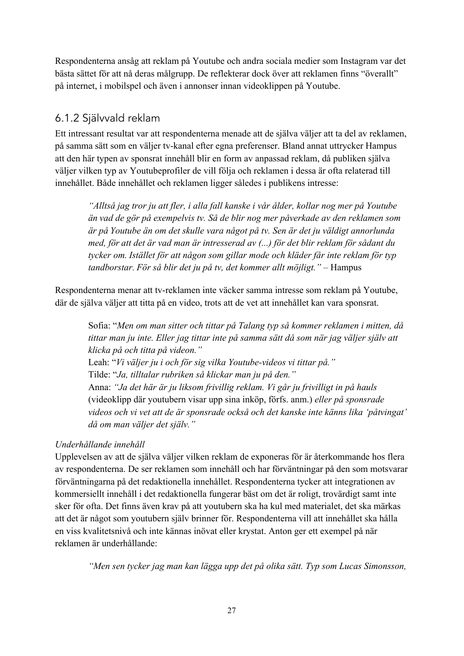Respondenterna ansåg att reklam på Youtube och andra sociala medier som Instagram var det bästa sättet för att nå deras målgrupp. De reflekterar dock över att reklamen finns "överallt" på internet, i mobilspel och även i annonser innan videoklippen på Youtube.

### 6.1.2 Självvald reklam

Ett intressant resultat var att respondenterna menade att de själva väljer att ta del av reklamen, på samma sätt som en väljer tv-kanal efter egna preferenser. Bland annat uttrycker Hampus att den här typen av sponsrat innehåll blir en form av anpassad reklam, då publiken själva väljer vilken typ av Youtubeprofiler de vill följa och reklamen i dessa är ofta relaterad till innehållet. Både innehållet och reklamen ligger således i publikens intresse:

*"Alltså jag tror ju att fler, i alla fall kanske i vår ålder, kollar nog mer på Youtube än vad de gör på exempelvis tv. Så de blir nog mer påverkade av den reklamen som är på Youtube än om det skulle vara något på tv. Sen är det ju väldigt annorlunda med, för att det är vad man är intresserad av (...) för det blir reklam för sådant du tycker om. Istället för att någon som gillar mode och kläder får inte reklam för typ tandborstar. För så blir det ju på tv, det kommer allt möjligt."* – Hampus

Respondenterna menar att tv-reklamen inte väcker samma intresse som reklam på Youtube, där de själva väljer att titta på en video, trots att de vet att innehållet kan vara sponsrat.

Sofia: "*Men om man sitter och tittar på Talang typ så kommer reklamen i mitten, då tittar man ju inte. Eller jag tittar inte på samma sätt då som när jag väljer själv att klicka på och titta på videon."*

Leah: "*Vi väljer ju i och för sig vilka Youtube-videos vi tittar på."* Tilde: "*Ja, tilltalar rubriken så klickar man ju på den."* Anna: *"Ja det här är ju liksom frivillig reklam. Vi går ju frivilligt in på hauls* (videoklipp där youtubern visar upp sina inköp, förfs. anm.) *eller på sponsrade videos och vi vet att de är sponsrade också och det kanske inte känns lika 'påtvingat' då om man väljer det själv."*

### *Underhållande innehåll*

Upplevelsen av att de själva väljer vilken reklam de exponeras för är återkommande hos flera av respondenterna. De ser reklamen som innehåll och har förväntningar på den som motsvarar förväntningarna på det redaktionella innehållet. Respondenterna tycker att integrationen av kommersiellt innehåll i det redaktionella fungerar bäst om det är roligt, trovärdigt samt inte sker för ofta. Det finns även krav på att youtubern ska ha kul med materialet, det ska märkas att det är något som youtubern själv brinner för. Respondenterna vill att innehållet ska hålla en viss kvalitetsnivå och inte kännas inövat eller krystat. Anton ger ett exempel på när reklamen är underhållande:

*"Men sen tycker jag man kan lägga upp det på olika sätt. Typ som Lucas Simonsson,*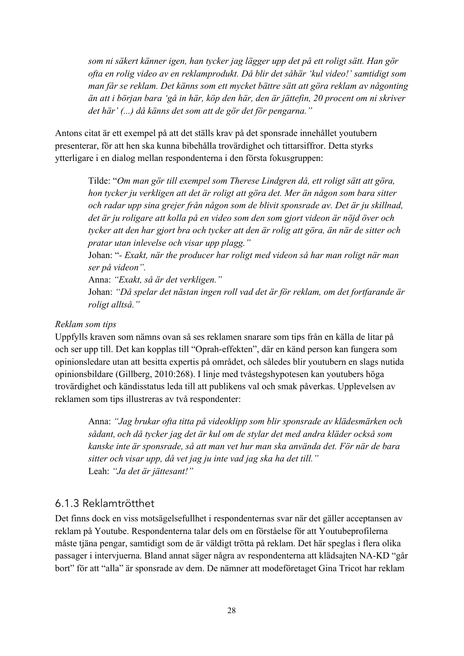*som ni säkert känner igen, han tycker jag lägger upp det på ett roligt sätt. Han gör ofta en rolig video av en reklamprodukt. Då blir det såhär 'kul video!' samtidigt som man får se reklam. Det känns som ett mycket bättre sätt att göra reklam av någonting än att i början bara 'gå in här, köp den här, den är jättefin, 20 procent om ni skriver det här' (...) då känns det som att de gör det för pengarna."* 

Antons citat är ett exempel på att det ställs krav på det sponsrade innehållet youtubern presenterar, för att hen ska kunna bibehålla trovärdighet och tittarsiffror. Detta styrks ytterligare i en dialog mellan respondenterna i den första fokusgruppen:

> Tilde: "*Om man gör till exempel som Therese Lindgren då, ett roligt sätt att göra, hon tycker ju verkligen att det är roligt att göra det. Mer än någon som bara sitter och radar upp sina grejer från någon som de blivit sponsrade av. Det är ju skillnad, det är ju roligare att kolla på en video som den som gjort videon är nöjd över och tycker att den har gjort bra och tycker att den är rolig att göra, än när de sitter och pratar utan inlevelse och visar upp plagg."*

Johan: "*- Exakt, när the producer har roligt med videon så har man roligt när man ser på videon".*

Anna: *"Exakt, så är det verkligen."* 

Johan: *"Då spelar det nästan ingen roll vad det är för reklam, om det fortfarande är roligt alltså."*

#### *Reklam som tips*

Uppfylls kraven som nämns ovan så ses reklamen snarare som tips från en källa de litar på och ser upp till. Det kan kopplas till "Oprah-effekten", där en känd person kan fungera som opinionsledare utan att besitta expertis på området, och således blir youtubern en slags nutida opinionsbildare (Gillberg, 2010:268). I linje med tvåstegshypotesen kan youtubers höga trovärdighet och kändisstatus leda till att publikens val och smak påverkas. Upplevelsen av reklamen som tips illustreras av två respondenter:

Anna: *"Jag brukar ofta titta på videoklipp som blir sponsrade av klädesmärken och sådant, och då tycker jag det är kul om de stylar det med andra kläder också som kanske inte är sponsrade, så att man vet hur man ska använda det. För när de bara sitter och visar upp, då vet jag ju inte vad jag ska ha det till."* Leah: *"Ja det är jättesant!"*

### 6.1.3 Reklamtrötthet

Det finns dock en viss motsägelsefullhet i respondenternas svar när det gäller acceptansen av reklam på Youtube. Respondenterna talar dels om en förståelse för att Youtubeprofilerna måste tjäna pengar, samtidigt som de är väldigt trötta på reklam. Det här speglas i flera olika passager i intervjuerna. Bland annat säger några av respondenterna att klädsajten NA-KD "går bort" för att "alla" är sponsrade av dem. De nämner att modeföretaget Gina Tricot har reklam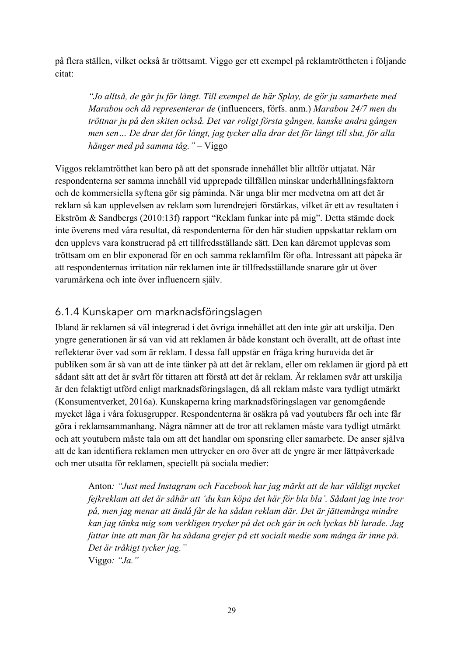på flera ställen, vilket också är tröttsamt. Viggo ger ett exempel på reklamtröttheten i följande citat:

*"Jo alltså, de går ju för långt. Till exempel de här Splay, de gör ju samarbete med Marabou och då representerar de* (influencers, förfs. anm.) *Marabou 24/7 men du tröttnar ju på den skiten också. Det var roligt första gången, kanske andra gången men sen… De drar det för långt, jag tycker alla drar det för långt till slut, för alla hänger med på samma tåg."* – Viggo

Viggos reklamtrötthet kan bero på att det sponsrade innehållet blir alltför uttjatat. När respondenterna ser samma innehåll vid upprepade tillfällen minskar underhållningsfaktorn och de kommersiella syftena gör sig påminda. När unga blir mer medvetna om att det är reklam så kan upplevelsen av reklam som lurendrejeri förstärkas, vilket är ett av resultaten i Ekström & Sandbergs (2010:13f) rapport "Reklam funkar inte på mig". Detta stämde dock inte överens med våra resultat, då respondenterna för den här studien uppskattar reklam om den upplevs vara konstruerad på ett tillfredsställande sätt. Den kan däremot upplevas som tröttsam om en blir exponerad för en och samma reklamfilm för ofta. Intressant att påpeka är att respondenternas irritation när reklamen inte är tillfredsställande snarare går ut över varumärkena och inte över influencern själv.

### 6.1.4 Kunskaper om marknadsföringslagen

Ibland är reklamen så väl integrerad i det övriga innehållet att den inte går att urskilja. Den yngre generationen är så van vid att reklamen är både konstant och överallt, att de oftast inte reflekterar över vad som är reklam. I dessa fall uppstår en fråga kring huruvida det är publiken som är så van att de inte tänker på att det är reklam, eller om reklamen är gjord på ett sådant sätt att det är svårt för tittaren att förstå att det är reklam. Är reklamen svår att urskilja är den felaktigt utförd enligt marknadsföringslagen, då all reklam måste vara tydligt utmärkt (Konsumentverket, 2016a). Kunskaperna kring marknadsföringslagen var genomgående mycket låga i våra fokusgrupper. Respondenterna är osäkra på vad youtubers får och inte får göra i reklamsammanhang. Några nämner att de tror att reklamen måste vara tydligt utmärkt och att youtubern måste tala om att det handlar om sponsring eller samarbete. De anser själva att de kan identifiera reklamen men uttrycker en oro över att de yngre är mer lättpåverkade och mer utsatta för reklamen, speciellt på sociala medier:

Anton*: "Just med Instagram och Facebook har jag märkt att de har väldigt mycket fejkreklam att det är såhär att 'du kan köpa det här för bla bla'. Sådant jag inte tror på, men jag menar att ändå får de ha sådan reklam där. Det är jättemånga mindre kan jag tänka mig som verkligen trycker på det och går in och lyckas bli lurade. Jag fattar inte att man får ha sådana grejer på ett socialt medie som många är inne på. Det är tråkigt tycker jag."* Viggo*: "Ja."*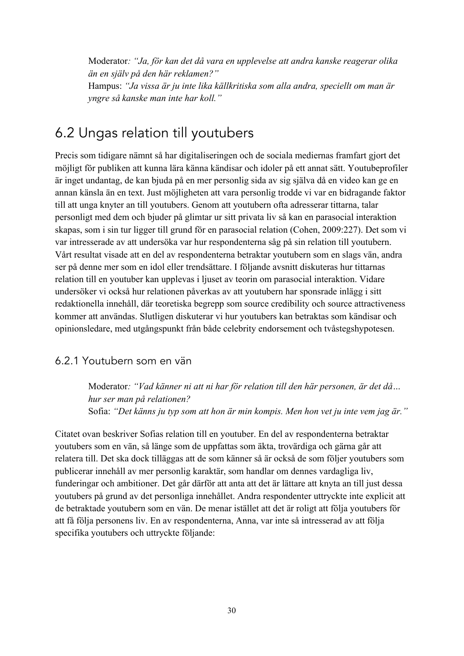Moderator*: "Ja, för kan det då vara en upplevelse att andra kanske reagerar olika än en själv på den här reklamen?"*  Hampus: *"Ja vissa är ju inte lika källkritiska som alla andra, speciellt om man är yngre så kanske man inte har koll."*

# 6.2 Ungas relation till youtubers

Precis som tidigare nämnt så har digitaliseringen och de sociala mediernas framfart gjort det möjligt för publiken att kunna lära känna kändisar och idoler på ett annat sätt. Youtubeprofiler är inget undantag, de kan bjuda på en mer personlig sida av sig själva då en video kan ge en annan känsla än en text. Just möjligheten att vara personlig trodde vi var en bidragande faktor till att unga knyter an till youtubers. Genom att youtubern ofta adresserar tittarna, talar personligt med dem och bjuder på glimtar ur sitt privata liv så kan en parasocial interaktion skapas, som i sin tur ligger till grund för en parasocial relation (Cohen, 2009:227). Det som vi var intresserade av att undersöka var hur respondenterna såg på sin relation till youtubern. Vårt resultat visade att en del av respondenterna betraktar youtubern som en slags vän, andra ser på denne mer som en idol eller trendsättare. I följande avsnitt diskuteras hur tittarnas relation till en youtuber kan upplevas i ljuset av teorin om parasocial interaktion. Vidare undersöker vi också hur relationen påverkas av att youtubern har sponsrade inlägg i sitt redaktionella innehåll, där teoretiska begrepp som source credibility och source attractiveness kommer att användas. Slutligen diskuterar vi hur youtubers kan betraktas som kändisar och opinionsledare, med utgångspunkt från både celebrity endorsement och tvåstegshypotesen.

#### 6.2.1 Youtubern som en vän

Moderator*: "Vad känner ni att ni har för relation till den här personen, är det då… hur ser man på relationen?* Sofia: *"Det känns ju typ som att hon är min kompis. Men hon vet ju inte vem jag är."* 

Citatet ovan beskriver Sofias relation till en youtuber. En del av respondenterna betraktar youtubers som en vän, så länge som de uppfattas som äkta, trovärdiga och gärna går att relatera till. Det ska dock tilläggas att de som känner så är också de som följer youtubers som publicerar innehåll av mer personlig karaktär, som handlar om dennes vardagliga liv, funderingar och ambitioner. Det går därför att anta att det är lättare att knyta an till just dessa youtubers på grund av det personliga innehållet. Andra respondenter uttryckte inte explicit att de betraktade youtubern som en vän. De menar istället att det är roligt att följa youtubers för att få följa personens liv. En av respondenterna, Anna, var inte så intresserad av att följa specifika youtubers och uttryckte följande: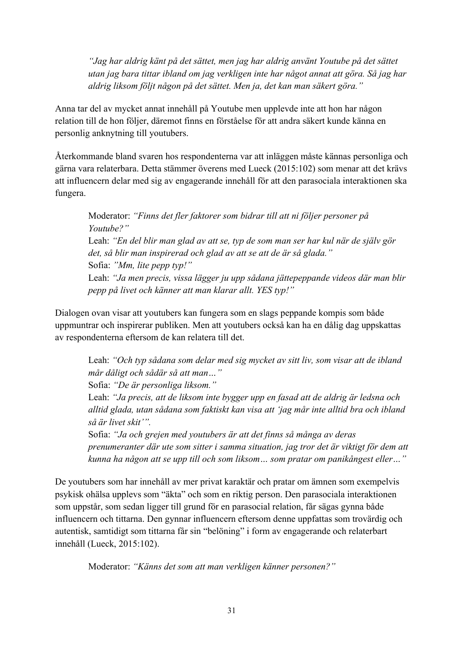*"Jag har aldrig känt på det sättet, men jag har aldrig använt Youtube på det sättet utan jag bara tittar ibland om jag verkligen inte har något annat att göra. Så jag har aldrig liksom följt någon på det sättet. Men ja, det kan man säkert göra."*

Anna tar del av mycket annat innehåll på Youtube men upplevde inte att hon har någon relation till de hon följer, däremot finns en förståelse för att andra säkert kunde känna en personlig anknytning till youtubers.

Återkommande bland svaren hos respondenterna var att inläggen måste kännas personliga och gärna vara relaterbara. Detta stämmer överens med Lueck (2015:102) som menar att det krävs att influencern delar med sig av engagerande innehåll för att den parasociala interaktionen ska fungera.

Moderator: *"Finns det fler faktorer som bidrar till att ni följer personer på Youtube?"* Leah: *"En del blir man glad av att se, typ de som man ser har kul när de själv gör det, så blir man inspirerad och glad av att se att de är så glada."* Sofia: *"Mm, lite pepp typ!"* Leah: *"Ja men precis, vissa lägger ju upp sådana jättepeppande videos där man blir pepp på livet och känner att man klarar allt. YES typ!"*

Dialogen ovan visar att youtubers kan fungera som en slags peppande kompis som både uppmuntrar och inspirerar publiken. Men att youtubers också kan ha en dålig dag uppskattas av respondenterna eftersom de kan relatera till det.

Leah: *"Och typ sådana som delar med sig mycket av sitt liv, som visar att de ibland mår dåligt och sådär så att man…"*

Sofia: *"De är personliga liksom."*

Leah: *"Ja precis, att de liksom inte bygger upp en fasad att de aldrig är ledsna och alltid glada, utan sådana som faktiskt kan visa att 'jag mår inte alltid bra och ibland så är livet skit'".*

Sofia: *"Ja och grejen med youtubers är att det finns så många av deras prenumeranter där ute som sitter i samma situation, jag tror det är viktigt för dem att kunna ha någon att se upp till och som liksom… som pratar om panikångest eller…"* 

De youtubers som har innehåll av mer privat karaktär och pratar om ämnen som exempelvis psykisk ohälsa upplevs som "äkta" och som en riktig person. Den parasociala interaktionen som uppstår, som sedan ligger till grund för en parasocial relation, får sägas gynna både influencern och tittarna. Den gynnar influencern eftersom denne uppfattas som trovärdig och autentisk, samtidigt som tittarna får sin "belöning" i form av engagerande och relaterbart innehåll (Lueck, 2015:102).

Moderator: *"Känns det som att man verkligen känner personen?"*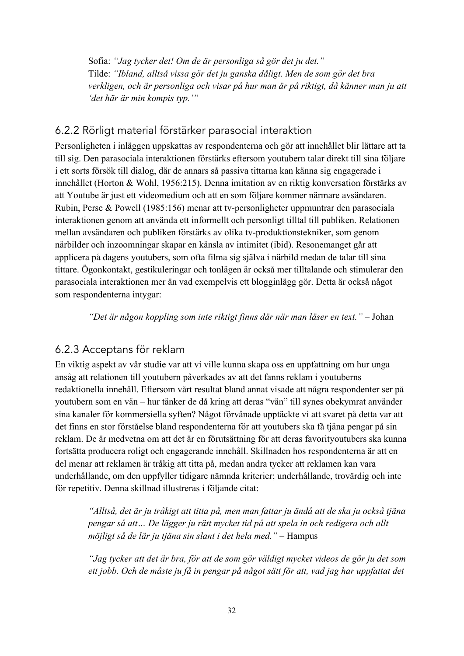Sofia: *"Jag tycker det! Om de är personliga så gör det ju det."* Tilde: *"Ibland, alltså vissa gör det ju ganska dåligt. Men de som gör det bra verkligen, och är personliga och visar på hur man är på riktigt, då känner man ju att 'det här är min kompis typ.'"*

#### 6.2.2 Rörligt material förstärker parasocial interaktion

Personligheten i inläggen uppskattas av respondenterna och gör att innehållet blir lättare att ta till sig. Den parasociala interaktionen förstärks eftersom youtubern talar direkt till sina följare i ett sorts försök till dialog, där de annars så passiva tittarna kan känna sig engagerade i innehållet (Horton & Wohl, 1956:215). Denna imitation av en riktig konversation förstärks av att Youtube är just ett videomedium och att en som följare kommer närmare avsändaren. Rubin, Perse & Powell (1985:156) menar att tv-personligheter uppmuntrar den parasociala interaktionen genom att använda ett informellt och personligt tilltal till publiken. Relationen mellan avsändaren och publiken förstärks av olika tv-produktionstekniker, som genom närbilder och inzoomningar skapar en känsla av intimitet (ibid). Resonemanget går att applicera på dagens youtubers, som ofta filma sig själva i närbild medan de talar till sina tittare. Ögonkontakt, gestikuleringar och tonlägen är också mer tilltalande och stimulerar den parasociala interaktionen mer än vad exempelvis ett blogginlägg gör. Detta är också något som respondenterna intygar:

*"Det är någon koppling som inte riktigt finns där när man läser en text."* – Johan

### 6.2.3 Acceptans för reklam

En viktig aspekt av vår studie var att vi ville kunna skapa oss en uppfattning om hur unga ansåg att relationen till youtubern påverkades av att det fanns reklam i youtuberns redaktionella innehåll. Eftersom vårt resultat bland annat visade att några respondenter ser på youtubern som en vän – hur tänker de då kring att deras "vän" till synes obekymrat använder sina kanaler för kommersiella syften? Något förvånade upptäckte vi att svaret på detta var att det finns en stor förståelse bland respondenterna för att youtubers ska få tjäna pengar på sin reklam. De är medvetna om att det är en förutsättning för att deras favorityoutubers ska kunna fortsätta producera roligt och engagerande innehåll. Skillnaden hos respondenterna är att en del menar att reklamen är tråkig att titta på, medan andra tycker att reklamen kan vara underhållande, om den uppfyller tidigare nämnda kriterier; underhållande, trovärdig och inte för repetitiv. Denna skillnad illustreras i följande citat:

*"Alltså, det är ju tråkigt att titta på, men man fattar ju ändå att de ska ju också tjäna pengar så att… De lägger ju rätt mycket tid på att spela in och redigera och allt möjligt så de lär ju tjäna sin slant i det hela med."* – Hampus

*"Jag tycker att det är bra, för att de som gör väldigt mycket videos de gör ju det som ett jobb. Och de måste ju få in pengar på något sätt för att, vad jag har uppfattat det*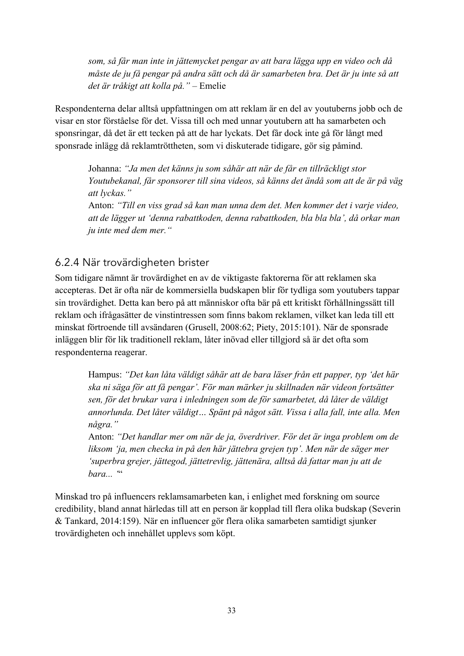*som, så får man inte in jättemycket pengar av att bara lägga upp en video och då måste de ju få pengar på andra sätt och då är samarbeten bra. Det är ju inte så att det är tråkigt att kolla på."* – Emelie

Respondenterna delar alltså uppfattningen om att reklam är en del av youtuberns jobb och de visar en stor förståelse för det. Vissa till och med unnar youtubern att ha samarbeten och sponsringar, då det är ett tecken på att de har lyckats. Det får dock inte gå för långt med sponsrade inlägg då reklamtröttheten, som vi diskuterade tidigare, gör sig påmind.

Johanna: *"Ja men det känns ju som såhär att när de får en tillräckligt stor Youtubekanal, får sponsorer till sina videos, så känns det ändå som att de är på väg att lyckas."*

Anton: *"Till en viss grad så kan man unna dem det. Men kommer det i varje video, att de lägger ut 'denna rabattkoden, denna rabattkoden, bla bla bla', då orkar man ju inte med dem mer."*

#### 6.2.4 När trovärdigheten brister

Som tidigare nämnt är trovärdighet en av de viktigaste faktorerna för att reklamen ska accepteras. Det är ofta när de kommersiella budskapen blir för tydliga som youtubers tappar sin trovärdighet. Detta kan bero på att människor ofta bär på ett kritiskt förhållningssätt till reklam och ifrågasätter de vinstintressen som finns bakom reklamen, vilket kan leda till ett minskat förtroende till avsändaren (Grusell, 2008:62; Piety, 2015:101). När de sponsrade inläggen blir för lik traditionell reklam, låter inövad eller tillgjord så är det ofta som respondenterna reagerar.

Hampus: *"Det kan låta väldigt såhär att de bara läser från ett papper, typ 'det här ska ni säga för att få pengar'. För man märker ju skillnaden när videon fortsätter sen, för det brukar vara i inledningen som de för samarbetet, då låter de väldigt annorlunda. Det låter väldigt… Spänt på något sätt. Vissa i alla fall, inte alla. Men några."*

Anton: *"Det handlar mer om när de ja, överdriver. För det är inga problem om de liksom 'ja, men checka in på den här jättebra grejen typ'. Men när de säger mer 'superbra grejer, jättegod, jättetrevlig, jättenära, alltså då fattar man ju att de bara... '*"

Minskad tro på influencers reklamsamarbeten kan, i enlighet med forskning om source credibility, bland annat härledas till att en person är kopplad till flera olika budskap (Severin & Tankard, 2014:159). När en influencer gör flera olika samarbeten samtidigt sjunker trovärdigheten och innehållet upplevs som köpt.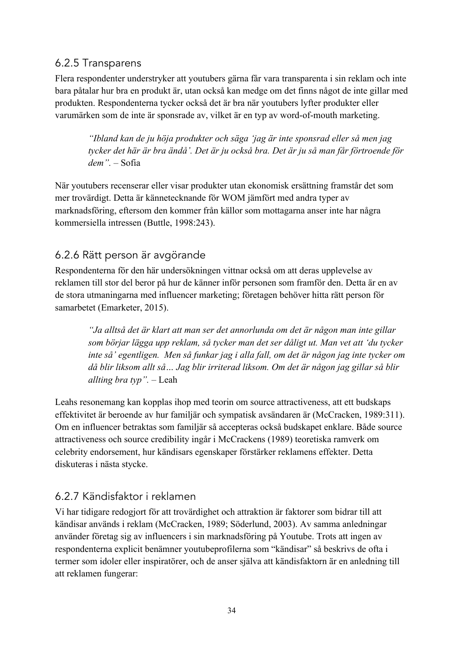### 6.2.5 Transparens

Flera respondenter understryker att youtubers gärna får vara transparenta i sin reklam och inte bara påtalar hur bra en produkt är, utan också kan medge om det finns något de inte gillar med produkten. Respondenterna tycker också det är bra när youtubers lyfter produkter eller varumärken som de inte är sponsrade av, vilket är en typ av word-of-mouth marketing.

*"Ibland kan de ju höja produkter och säga 'jag är inte sponsrad eller så men jag tycker det här är bra ändå'. Det är ju också bra. Det är ju så man får förtroende för dem".* – Sofia

När youtubers recenserar eller visar produkter utan ekonomisk ersättning framstår det som mer trovärdigt. Detta är kännetecknande för WOM jämfört med andra typer av marknadsföring, eftersom den kommer från källor som mottagarna anser inte har några kommersiella intressen (Buttle, 1998:243).

## 6.2.6 Rätt person är avgörande

Respondenterna för den här undersökningen vittnar också om att deras upplevelse av reklamen till stor del beror på hur de känner inför personen som framför den. Detta är en av de stora utmaningarna med influencer marketing; företagen behöver hitta rätt person för samarbetet (Emarketer, 2015).

*"Ja alltså det är klart att man ser det annorlunda om det är någon man inte gillar som börjar lägga upp reklam, så tycker man det ser dåligt ut. Man vet att 'du tycker inte så' egentligen. Men så funkar jag i alla fall, om det är någon jag inte tycker om då blir liksom allt så… Jag blir irriterad liksom. Om det är någon jag gillar så blir allting bra typ".* – Leah

Leahs resonemang kan kopplas ihop med teorin om source attractiveness, att ett budskaps effektivitet är beroende av hur familjär och sympatisk avsändaren är (McCracken, 1989:311). Om en influencer betraktas som familjär så accepteras också budskapet enklare. Både source attractiveness och source credibility ingår i McCrackens (1989) teoretiska ramverk om celebrity endorsement, hur kändisars egenskaper förstärker reklamens effekter. Detta diskuteras i nästa stycke.

## 6.2.7 Kändisfaktor i reklamen

Vi har tidigare redogjort för att trovärdighet och attraktion är faktorer som bidrar till att kändisar används i reklam (McCracken, 1989; Söderlund, 2003). Av samma anledningar använder företag sig av influencers i sin marknadsföring på Youtube. Trots att ingen av respondenterna explicit benämner youtubeprofilerna som "kändisar" så beskrivs de ofta i termer som idoler eller inspiratörer, och de anser själva att kändisfaktorn är en anledning till att reklamen fungerar: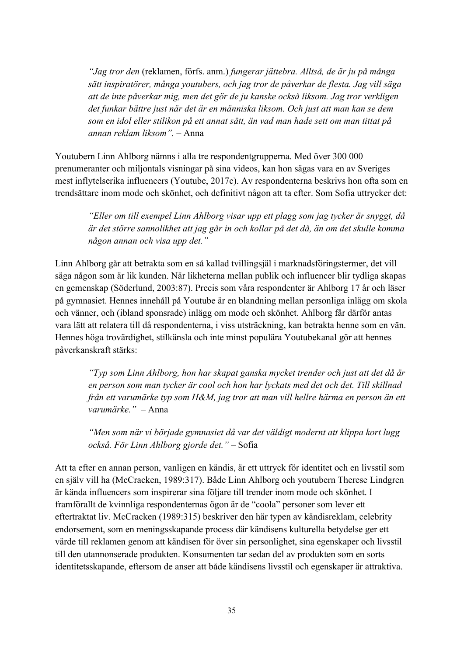*"Jag tror den* (reklamen, förfs. anm.) *fungerar jättebra. Alltså, de är ju på många sätt inspiratörer, många youtubers, och jag tror de påverkar de flesta. Jag vill säga att de inte påverkar mig, men det gör de ju kanske också liksom. Jag tror verkligen det funkar bättre just när det är en människa liksom. Och just att man kan se dem som en idol eller stilikon på ett annat sätt, än vad man hade sett om man tittat på annan reklam liksom".* – Anna

Youtubern Linn Ahlborg nämns i alla tre respondentgrupperna. Med över 300 000 prenumeranter och miljontals visningar på sina videos, kan hon sägas vara en av Sveriges mest inflytelserika influencers (Youtube, 2017c). Av respondenterna beskrivs hon ofta som en trendsättare inom mode och skönhet, och definitivt någon att ta efter. Som Sofia uttrycker det:

*"Eller om till exempel Linn Ahlborg visar upp ett plagg som jag tycker är snyggt, då är det större sannolikhet att jag går in och kollar på det då, än om det skulle komma någon annan och visa upp det."*

Linn Ahlborg går att betrakta som en så kallad tvillingsjäl i marknadsföringstermer, det vill säga någon som är lik kunden. När likheterna mellan publik och influencer blir tydliga skapas en gemenskap (Söderlund, 2003:87). Precis som våra respondenter är Ahlborg 17 år och läser på gymnasiet. Hennes innehåll på Youtube är en blandning mellan personliga inlägg om skola och vänner, och (ibland sponsrade) inlägg om mode och skönhet. Ahlborg får därför antas vara lätt att relatera till då respondenterna, i viss utsträckning, kan betrakta henne som en vän. Hennes höga trovärdighet, stilkänsla och inte minst populära Youtubekanal gör att hennes påverkanskraft stärks:

*"Typ som Linn Ahlborg, hon har skapat ganska mycket trender och just att det då är en person som man tycker är cool och hon har lyckats med det och det. Till skillnad från ett varumärke typ som H&M, jag tror att man vill hellre härma en person än ett varumärke."* – Anna

*"Men som när vi började gymnasiet då var det väldigt modernt att klippa kort lugg också. För Linn Ahlborg gjorde det."* – Sofia

Att ta efter en annan person, vanligen en kändis, är ett uttryck för identitet och en livsstil som en själv vill ha (McCracken, 1989:317). Både Linn Ahlborg och youtubern Therese Lindgren är kända influencers som inspirerar sina följare till trender inom mode och skönhet. I framförallt de kvinnliga respondenternas ögon är de "coola" personer som lever ett eftertraktat liv. McCracken (1989:315) beskriver den här typen av kändisreklam, celebrity endorsement, som en meningsskapande process där kändisens kulturella betydelse ger ett värde till reklamen genom att kändisen för över sin personlighet, sina egenskaper och livsstil till den utannonserade produkten. Konsumenten tar sedan del av produkten som en sorts identitetsskapande, eftersom de anser att både kändisens livsstil och egenskaper är attraktiva.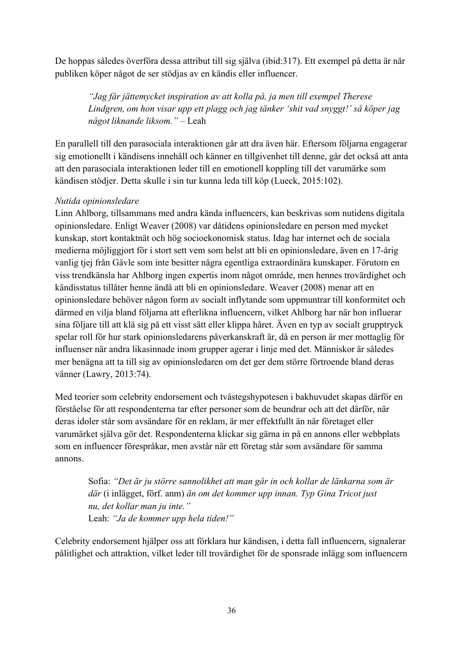De hoppas således överföra dessa attribut till sig själva (ibid:317). Ett exempel på detta är när publiken köper något de ser stödjas av en kändis eller influencer.

*"Jag får jättemycket inspiration av att kolla på, ja men till exempel Therese Lindgren, om hon visar upp ett plagg och jag tänker 'shit vad snyggt!' så köper jag något liknande liksom."* – Leah

En parallell till den parasociala interaktionen går att dra även här. Eftersom följarna engagerar sig emotionellt i kändisens innehåll och känner en tillgivenhet till denne, går det också att anta att den parasociala interaktionen leder till en emotionell koppling till det varumärke som kändisen stödjer. Detta skulle i sin tur kunna leda till köp (Lueck, 2015:102).

#### *Nutida opinionsledare*

Linn Ahlborg, tillsammans med andra kända influencers, kan beskrivas som nutidens digitala opinionsledare. Enligt Weaver (2008) var dåtidens opinionsledare en person med mycket kunskap, stort kontaktnät och hög socioekonomisk status. Idag har internet och de sociala medierna möjliggjort för i stort sett vem som helst att bli en opinionsledare, även en 17-årig vanlig tjej från Gävle som inte besitter några egentliga extraordinära kunskaper. Förutom en viss trendkänsla har Ahlborg ingen expertis inom något område, men hennes trovärdighet och kändisstatus tillåter henne ändå att bli en opinionsledare. Weaver (2008) menar att en opinionsledare behöver någon form av socialt inflytande som uppmuntrar till konformitet och därmed en vilja bland följarna att efterlikna influencern, vilket Ahlborg har när hon influerar sina följare till att klä sig på ett visst sätt eller klippa håret. Även en typ av socialt grupptryck spelar roll för hur stark opinionsledarens påverkanskraft är, då en person är mer mottaglig för influenser när andra likasinnade inom grupper agerar i linje med det. Människor är således mer benägna att ta till sig av opinionsledaren om det ger dem större förtroende bland deras vänner (Lawry, 2013:74).

Med teorier som celebrity endorsement och tvåstegshypotesen i bakhuvudet skapas därför en förståelse för att respondenterna tar efter personer som de beundrar och att det därför, när deras idoler står som avsändare för en reklam, är mer effektfullt än när företaget eller varumärket själva gör det. Respondenterna klickar sig gärna in på en annons eller webbplats som en influencer förespråkar, men avstår när ett företag står som avsändare för samma annons.

Sofia: *"Det är ju större sannolikhet att man går in och kollar de länkarna som är där* (i inlägget, förf. anm) *än om det kommer upp innan. Typ Gina Tricot just nu, det kollar man ju inte."* Leah: *"Ja de kommer upp hela tiden!"*

Celebrity endorsement hjälper oss att förklara hur kändisen, i detta fall influencern, signalerar pålitlighet och attraktion, vilket leder till trovärdighet för de sponsrade inlägg som influencern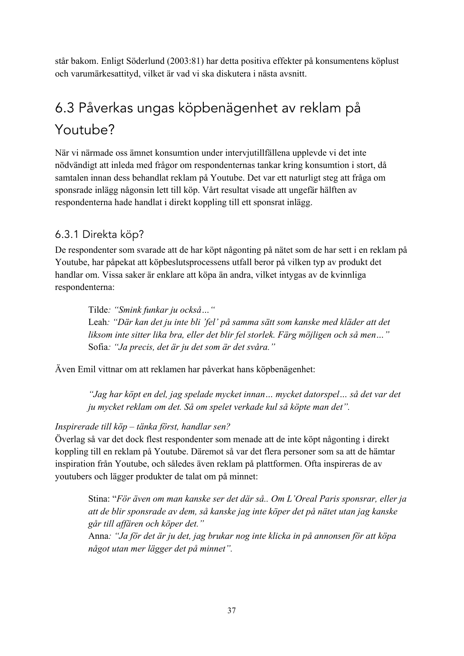står bakom. Enligt Söderlund (2003:81) har detta positiva effekter på konsumentens köplust och varumärkesattityd, vilket är vad vi ska diskutera i nästa avsnitt.

# 6.3 Påverkas ungas köpbenägenhet av reklam på Youtube?

När vi närmade oss ämnet konsumtion under intervjutillfällena upplevde vi det inte nödvändigt att inleda med frågor om respondenternas tankar kring konsumtion i stort, då samtalen innan dess behandlat reklam på Youtube. Det var ett naturligt steg att fråga om sponsrade inlägg någonsin lett till köp. Vårt resultat visade att ungefär hälften av respondenterna hade handlat i direkt koppling till ett sponsrat inlägg.

## 6.3.1 Direkta köp?

De respondenter som svarade att de har köpt någonting på nätet som de har sett i en reklam på Youtube, har påpekat att köpbeslutsprocessens utfall beror på vilken typ av produkt det handlar om. Vissa saker är enklare att köpa än andra, vilket intygas av de kvinnliga respondenterna:

Tilde*: "Smink funkar ju också…"* Leah*: "Där kan det ju inte bli 'fel' på samma sätt som kanske med kläder att det liksom inte sitter lika bra, eller det blir fel storlek. Färg möjligen och så men…"* Sofia*: "Ja precis, det är ju det som är det svåra."* 

Även Emil vittnar om att reklamen har påverkat hans köpbenägenhet:

*"Jag har köpt en del, jag spelade mycket innan… mycket datorspel… så det var det ju mycket reklam om det. Så om spelet verkade kul så köpte man det".* 

#### *Inspirerade till köp – tänka först, handlar sen?*

Överlag så var det dock flest respondenter som menade att de inte köpt någonting i direkt koppling till en reklam på Youtube. Däremot så var det flera personer som sa att de hämtar inspiration från Youtube, och således även reklam på plattformen. Ofta inspireras de av youtubers och lägger produkter de talat om på minnet:

Stina: "*För även om man kanske ser det där så.. Om L'Oreal Paris sponsrar, eller ja att de blir sponsrade av dem, så kanske jag inte köper det på nätet utan jag kanske går till affären och köper det."*

Anna*: "Ja för det är ju det, jag brukar nog inte klicka in på annonsen för att köpa något utan mer lägger det på minnet".*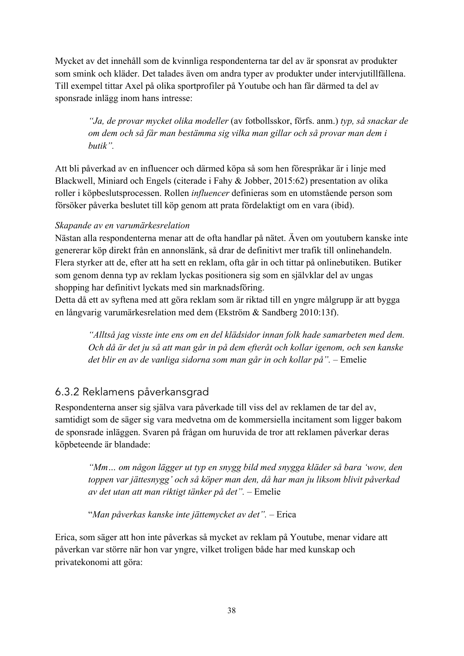Mycket av det innehåll som de kvinnliga respondenterna tar del av är sponsrat av produkter som smink och kläder. Det talades även om andra typer av produkter under intervjutillfällena. Till exempel tittar Axel på olika sportprofiler på Youtube och han får därmed ta del av sponsrade inlägg inom hans intresse:

*"Ja, de provar mycket olika modeller* (av fotbollsskor, förfs. anm.) *typ, så snackar de om dem och så får man bestämma sig vilka man gillar och så provar man dem i butik".*

Att bli påverkad av en influencer och därmed köpa så som hen förespråkar är i linje med Blackwell, Miniard och Engels (citerade i Fahy & Jobber, 2015:62) presentation av olika roller i köpbeslutsprocessen. Rollen *influencer* definieras som en utomstående person som försöker påverka beslutet till köp genom att prata fördelaktigt om en vara (ibid).

#### *Skapande av en varumärkesrelation*

Nästan alla respondenterna menar att de ofta handlar på nätet. Även om youtubern kanske inte genererar köp direkt från en annonslänk, så drar de definitivt mer trafik till onlinehandeln. Flera styrker att de, efter att ha sett en reklam, ofta går in och tittar på onlinebutiken. Butiker som genom denna typ av reklam lyckas positionera sig som en självklar del av ungas shopping har definitivt lyckats med sin marknadsföring.

Detta då ett av syftena med att göra reklam som är riktad till en yngre målgrupp är att bygga en långvarig varumärkesrelation med dem (Ekström & Sandberg 2010:13f).

*"Alltså jag visste inte ens om en del klädsidor innan folk hade samarbeten med dem. Och då är det ju så att man går in på dem efteråt och kollar igenom, och sen kanske det blir en av de vanliga sidorna som man går in och kollar på".* – Emelie

## 6.3.2 Reklamens påverkansgrad

Respondenterna anser sig själva vara påverkade till viss del av reklamen de tar del av, samtidigt som de säger sig vara medvetna om de kommersiella incitament som ligger bakom de sponsrade inläggen. Svaren på frågan om huruvida de tror att reklamen påverkar deras köpbeteende är blandade:

*"Mm… om någon lägger ut typ en snygg bild med snygga kläder så bara 'wow, den toppen var jättesnygg' och så köper man den, då har man ju liksom blivit påverkad av det utan att man riktigt tänker på det".* – Emelie

"*Man påverkas kanske inte jättemycket av det".* – Erica

Erica, som säger att hon inte påverkas så mycket av reklam på Youtube, menar vidare att påverkan var större när hon var yngre, vilket troligen både har med kunskap och privatekonomi att göra: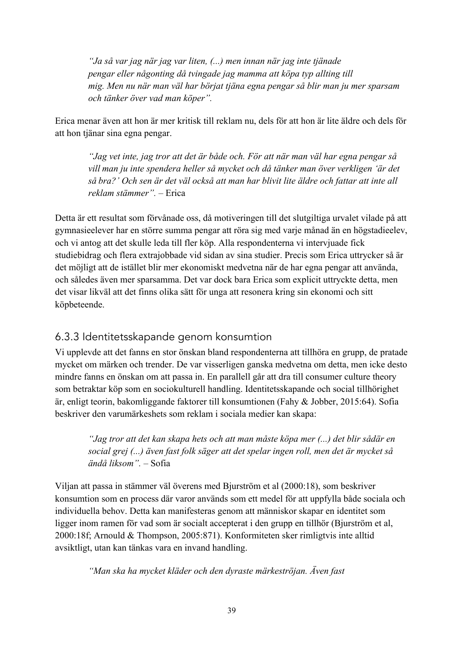*"Ja så var jag när jag var liten, (...) men innan när jag inte tjänade pengar eller någonting då tvingade jag mamma att köpa typ allting till mig. Men nu när man väl har börjat tjäna egna pengar så blir man ju mer sparsam och tänker över vad man köper".* 

Erica menar även att hon är mer kritisk till reklam nu, dels för att hon är lite äldre och dels för att hon tjänar sina egna pengar.

*"Jag vet inte, jag tror att det är både och. För att när man väl har egna pengar så vill man ju inte spendera heller så mycket och då tänker man över verkligen 'är det så bra?' Och sen är det väl också att man har blivit lite äldre och fattar att inte all reklam stämmer".* – Erica

Detta är ett resultat som förvånade oss, då motiveringen till det slutgiltiga urvalet vilade på att gymnasieelever har en större summa pengar att röra sig med varje månad än en högstadieelev, och vi antog att det skulle leda till fler köp. Alla respondenterna vi intervjuade fick studiebidrag och flera extrajobbade vid sidan av sina studier. Precis som Erica uttrycker så är det möjligt att de istället blir mer ekonomiskt medvetna när de har egna pengar att använda, och således även mer sparsamma. Det var dock bara Erica som explicit uttryckte detta, men det visar likväl att det finns olika sätt för unga att resonera kring sin ekonomi och sitt köpbeteende.

### 6.3.3 Identitetsskapande genom konsumtion

Vi upplevde att det fanns en stor önskan bland respondenterna att tillhöra en grupp, de pratade mycket om märken och trender. De var visserligen ganska medvetna om detta, men icke desto mindre fanns en önskan om att passa in. En parallell går att dra till consumer culture theory som betraktar köp som en sociokulturell handling. Identitetsskapande och social tillhörighet är, enligt teorin, bakomliggande faktorer till konsumtionen (Fahy & Jobber, 2015:64). Sofia beskriver den varumärkeshets som reklam i sociala medier kan skapa:

*"Jag tror att det kan skapa hets och att man måste köpa mer (...) det blir sådär en social grej (...) även fast folk säger att det spelar ingen roll, men det är mycket så ändå liksom".* – Sofia

Viljan att passa in stämmer väl överens med Bjurström et al (2000:18), som beskriver konsumtion som en process där varor används som ett medel för att uppfylla både sociala och individuella behov. Detta kan manifesteras genom att människor skapar en identitet som ligger inom ramen för vad som är socialt accepterat i den grupp en tillhör (Bjurström et al, 2000:18f; Arnould & Thompson, 2005:871). Konformiteten sker rimligtvis inte alltid avsiktligt, utan kan tänkas vara en invand handling.

*"Man ska ha mycket kläder och den dyraste märkeströjan. Även fast*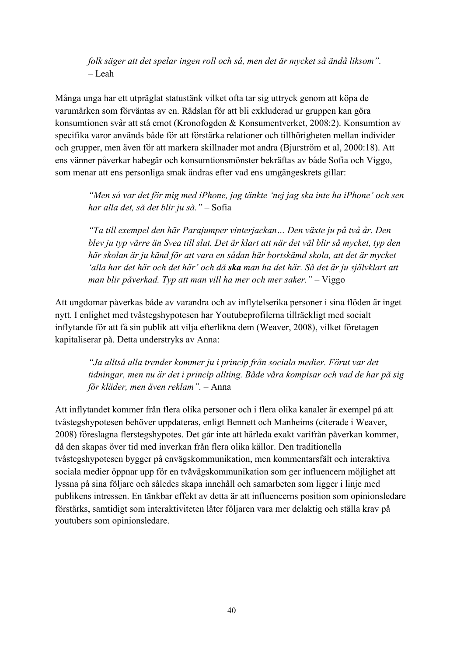*folk säger att det spelar ingen roll och så, men det är mycket så ändå liksom".* – Leah

Många unga har ett utpräglat statustänk vilket ofta tar sig uttryck genom att köpa de varumärken som förväntas av en. Rädslan för att bli exkluderad ur gruppen kan göra konsumtionen svår att stå emot (Kronofogden & Konsumentverket, 2008:2). Konsumtion av specifika varor används både för att förstärka relationer och tillhörigheten mellan individer och grupper, men även för att markera skillnader mot andra (Bjurström et al, 2000:18). Att ens vänner påverkar habegär och konsumtionsmönster bekräftas av både Sofia och Viggo, som menar att ens personliga smak ändras efter vad ens umgängeskrets gillar:

*"Men så var det för mig med iPhone, jag tänkte 'nej jag ska inte ha iPhone' och sen har alla det, så det blir ju så."* – Sofia

*"Ta till exempel den här Parajumper vinterjackan… Den växte ju på två år. Den blev ju typ värre än Svea till slut. Det är klart att när det väl blir så mycket, typ den här skolan är ju känd för att vara en sådan här bortskämd skola, att det är mycket 'alla har det här och det här' och då ska man ha det här. Så det är ju självklart att man blir påverkad. Typ att man vill ha mer och mer saker."* – Viggo

Att ungdomar påverkas både av varandra och av inflytelserika personer i sina flöden är inget nytt. I enlighet med tvåstegshypotesen har Youtubeprofilerna tillräckligt med socialt inflytande för att få sin publik att vilja efterlikna dem (Weaver, 2008), vilket företagen kapitaliserar på. Detta understryks av Anna:

*"Ja alltså alla trender kommer ju i princip från sociala medier. Förut var det tidningar, men nu är det i princip allting. Både våra kompisar och vad de har på sig för kläder, men även reklam".* – Anna

Att inflytandet kommer från flera olika personer och i flera olika kanaler är exempel på att tvåstegshypotesen behöver uppdateras, enligt Bennett och Manheims (citerade i Weaver, 2008) föreslagna flerstegshypotes. Det går inte att härleda exakt varifrån påverkan kommer, då den skapas över tid med inverkan från flera olika källor. Den traditionella tvåstegshypotesen bygger på envägskommunikation, men kommentarsfält och interaktiva sociala medier öppnar upp för en tvåvägskommunikation som ger influencern möjlighet att lyssna på sina följare och således skapa innehåll och samarbeten som ligger i linje med publikens intressen. En tänkbar effekt av detta är att influencerns position som opinionsledare förstärks, samtidigt som interaktiviteten låter följaren vara mer delaktig och ställa krav på youtubers som opinionsledare.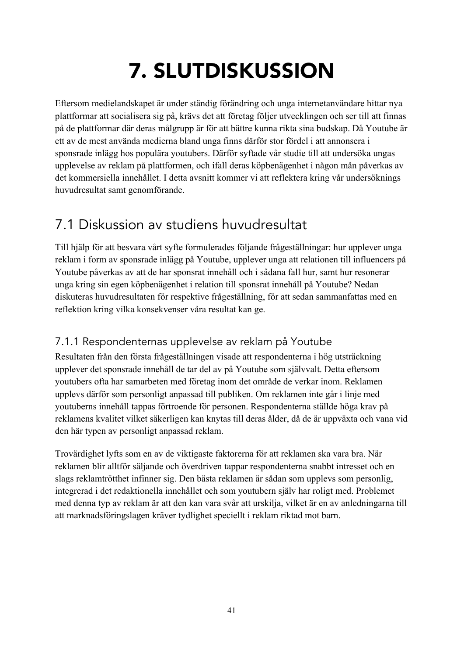# 7. SLUTDISKUSSION

Eftersom medielandskapet är under ständig förändring och unga internetanvändare hittar nya plattformar att socialisera sig på, krävs det att företag följer utvecklingen och ser till att finnas på de plattformar där deras målgrupp är för att bättre kunna rikta sina budskap. Då Youtube är ett av de mest använda medierna bland unga finns därför stor fördel i att annonsera i sponsrade inlägg hos populära youtubers. Därför syftade vår studie till att undersöka ungas upplevelse av reklam på plattformen, och ifall deras köpbenägenhet i någon mån påverkas av det kommersiella innehållet. I detta avsnitt kommer vi att reflektera kring vår undersöknings huvudresultat samt genomförande.

# 7.1 Diskussion av studiens huvudresultat

Till hjälp för att besvara vårt syfte formulerades följande frågeställningar: hur upplever unga reklam i form av sponsrade inlägg på Youtube, upplever unga att relationen till influencers på Youtube påverkas av att de har sponsrat innehåll och i sådana fall hur, samt hur resonerar unga kring sin egen köpbenägenhet i relation till sponsrat innehåll på Youtube? Nedan diskuteras huvudresultaten för respektive frågeställning, för att sedan sammanfattas med en reflektion kring vilka konsekvenser våra resultat kan ge.

## 7.1.1 Respondenternas upplevelse av reklam på Youtube

Resultaten från den första frågeställningen visade att respondenterna i hög utsträckning upplever det sponsrade innehåll de tar del av på Youtube som självvalt. Detta eftersom youtubers ofta har samarbeten med företag inom det område de verkar inom. Reklamen upplevs därför som personligt anpassad till publiken. Om reklamen inte går i linje med youtuberns innehåll tappas förtroende för personen. Respondenterna ställde höga krav på reklamens kvalitet vilket säkerligen kan knytas till deras ålder, då de är uppväxta och vana vid den här typen av personligt anpassad reklam.

Trovärdighet lyfts som en av de viktigaste faktorerna för att reklamen ska vara bra. När reklamen blir alltför säljande och överdriven tappar respondenterna snabbt intresset och en slags reklamtrötthet infinner sig. Den bästa reklamen är sådan som upplevs som personlig, integrerad i det redaktionella innehållet och som youtubern själv har roligt med. Problemet med denna typ av reklam är att den kan vara svår att urskilja, vilket är en av anledningarna till att marknadsföringslagen kräver tydlighet speciellt i reklam riktad mot barn.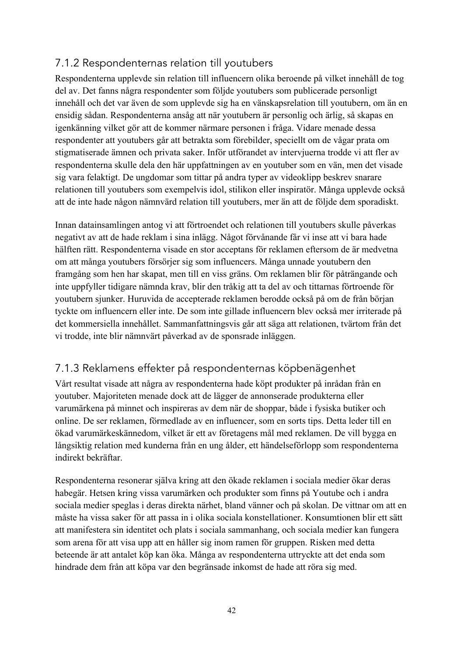## 7.1.2 Respondenternas relation till youtubers

Respondenterna upplevde sin relation till influencern olika beroende på vilket innehåll de tog del av. Det fanns några respondenter som följde youtubers som publicerade personligt innehåll och det var även de som upplevde sig ha en vänskapsrelation till youtubern, om än en ensidig sådan. Respondenterna ansåg att när youtubern är personlig och ärlig, så skapas en igenkänning vilket gör att de kommer närmare personen i fråga. Vidare menade dessa respondenter att youtubers går att betrakta som förebilder, speciellt om de vågar prata om stigmatiserade ämnen och privata saker. Inför utförandet av intervjuerna trodde vi att fler av respondenterna skulle dela den här uppfattningen av en youtuber som en vän, men det visade sig vara felaktigt. De ungdomar som tittar på andra typer av videoklipp beskrev snarare relationen till youtubers som exempelvis idol, stilikon eller inspiratör. Många upplevde också att de inte hade någon nämnvärd relation till youtubers, mer än att de följde dem sporadiskt.

Innan datainsamlingen antog vi att förtroendet och relationen till youtubers skulle påverkas negativt av att de hade reklam i sina inlägg. Något förvånande får vi inse att vi bara hade hälften rätt. Respondenterna visade en stor acceptans för reklamen eftersom de är medvetna om att många youtubers försörjer sig som influencers. Många unnade youtubern den framgång som hen har skapat, men till en viss gräns. Om reklamen blir för påträngande och inte uppfyller tidigare nämnda krav, blir den tråkig att ta del av och tittarnas förtroende för youtubern sjunker. Huruvida de accepterade reklamen berodde också på om de från början tyckte om influencern eller inte. De som inte gillade influencern blev också mer irriterade på det kommersiella innehållet. Sammanfattningsvis går att säga att relationen, tvärtom från det vi trodde, inte blir nämnvärt påverkad av de sponsrade inläggen.

# 7.1.3 Reklamens effekter på respondenternas köpbenägenhet

Vårt resultat visade att några av respondenterna hade köpt produkter på inrådan från en youtuber. Majoriteten menade dock att de lägger de annonserade produkterna eller varumärkena på minnet och inspireras av dem när de shoppar, både i fysiska butiker och online. De ser reklamen, förmedlade av en influencer, som en sorts tips. Detta leder till en ökad varumärkeskännedom, vilket är ett av företagens mål med reklamen. De vill bygga en långsiktig relation med kunderna från en ung ålder, ett händelseförlopp som respondenterna indirekt bekräftar.

Respondenterna resonerar själva kring att den ökade reklamen i sociala medier ökar deras habegär. Hetsen kring vissa varumärken och produkter som finns på Youtube och i andra sociala medier speglas i deras direkta närhet, bland vänner och på skolan. De vittnar om att en måste ha vissa saker för att passa in i olika sociala konstellationer. Konsumtionen blir ett sätt att manifestera sin identitet och plats i sociala sammanhang, och sociala medier kan fungera som arena för att visa upp att en håller sig inom ramen för gruppen. Risken med detta beteende är att antalet köp kan öka. Många av respondenterna uttryckte att det enda som hindrade dem från att köpa var den begränsade inkomst de hade att röra sig med.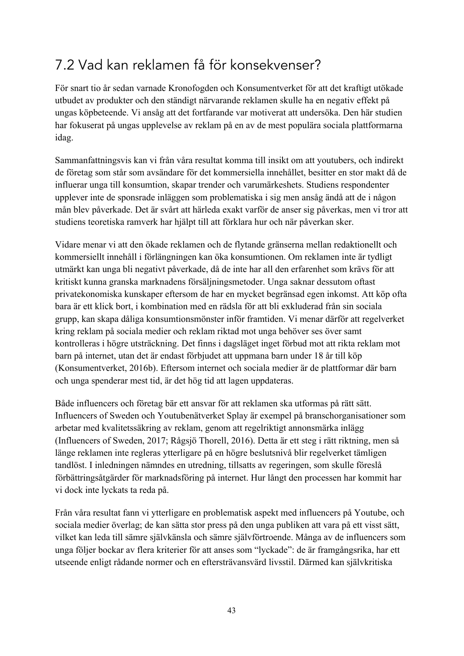# 7.2 Vad kan reklamen få för konsekvenser?

För snart tio år sedan varnade Kronofogden och Konsumentverket för att det kraftigt utökade utbudet av produkter och den ständigt närvarande reklamen skulle ha en negativ effekt på ungas köpbeteende. Vi ansåg att det fortfarande var motiverat att undersöka. Den här studien har fokuserat på ungas upplevelse av reklam på en av de mest populära sociala plattformarna idag.

Sammanfattningsvis kan vi från våra resultat komma till insikt om att youtubers, och indirekt de företag som står som avsändare för det kommersiella innehållet, besitter en stor makt då de influerar unga till konsumtion, skapar trender och varumärkeshets. Studiens respondenter upplever inte de sponsrade inläggen som problematiska i sig men ansåg ändå att de i någon mån blev påverkade. Det är svårt att härleda exakt varför de anser sig påverkas, men vi tror att studiens teoretiska ramverk har hjälpt till att förklara hur och när påverkan sker.

Vidare menar vi att den ökade reklamen och de flytande gränserna mellan redaktionellt och kommersiellt innehåll i förlängningen kan öka konsumtionen. Om reklamen inte är tydligt utmärkt kan unga bli negativt påverkade, då de inte har all den erfarenhet som krävs för att kritiskt kunna granska marknadens försäljningsmetoder. Unga saknar dessutom oftast privatekonomiska kunskaper eftersom de har en mycket begränsad egen inkomst. Att köp ofta bara är ett klick bort, i kombination med en rädsla för att bli exkluderad från sin sociala grupp, kan skapa dåliga konsumtionsmönster inför framtiden. Vi menar därför att regelverket kring reklam på sociala medier och reklam riktad mot unga behöver ses över samt kontrolleras i högre utsträckning. Det finns i dagsläget inget förbud mot att rikta reklam mot barn på internet, utan det är endast förbjudet att uppmana barn under 18 år till köp (Konsumentverket, 2016b). Eftersom internet och sociala medier är de plattformar där barn och unga spenderar mest tid, är det hög tid att lagen uppdateras.

Både influencers och företag bär ett ansvar för att reklamen ska utformas på rätt sätt. Influencers of Sweden och Youtubenätverket Splay är exempel på branschorganisationer som arbetar med kvalitetssäkring av reklam, genom att regelriktigt annonsmärka inlägg (Influencers of Sweden, 2017; Rågsjö Thorell, 2016). Detta är ett steg i rätt riktning, men så länge reklamen inte regleras ytterligare på en högre beslutsnivå blir regelverket tämligen tandlöst. I inledningen nämndes en utredning, tillsatts av regeringen, som skulle föreslå förbättringsåtgärder för marknadsföring på internet. Hur långt den processen har kommit har vi dock inte lyckats ta reda på.

Från våra resultat fann vi ytterligare en problematisk aspekt med influencers på Youtube, och sociala medier överlag; de kan sätta stor press på den unga publiken att vara på ett visst sätt, vilket kan leda till sämre självkänsla och sämre självförtroende. Många av de influencers som unga följer bockar av flera kriterier för att anses som "lyckade": de är framgångsrika, har ett utseende enligt rådande normer och en eftersträvansvärd livsstil. Därmed kan självkritiska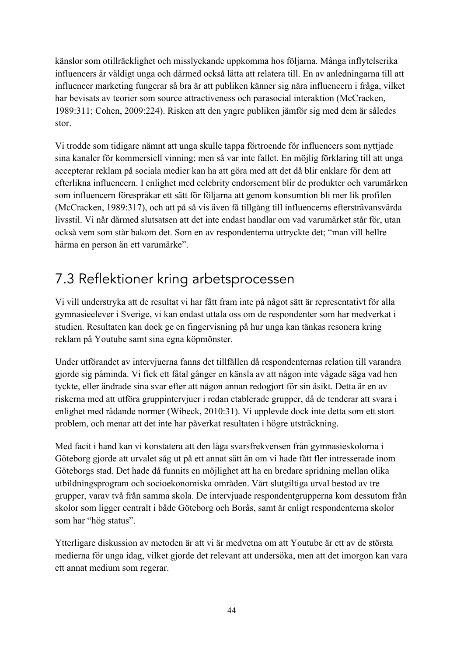känslor som otillräcklighet och misslyckande uppkomma hos följarna. Många inflytelserika influencers är väldigt unga och därmed också lätta att relatera till. En av anledningarna till att influencer marketing fungerar så bra är att publiken känner sig nära influencern i fråga, vilket har bevisats av teorier som source attractiveness och parasocial interaktion (McCracken, 1989:311; Cohen, 2009:224). Risken att den yngre publiken jämför sig med dem är således stor.

Vi trodde som tidigare nämnt att unga skulle tappa förtroende för influencers som nyttjade sina kanaler för kommersiell vinning; men så var inte fallet. En möjlig förklaring till att unga accepterar reklam på sociala medier kan ha att göra med att det då blir enklare för dem att efterlikna influencern. I enlighet med celebrity endorsement blir de produkter och varumärken som influencern förespråkar ett sätt för följarna att genom konsumtion bli mer lik profilen (McCracken, 1989:317), och att på så vis även få tillgång till influencerns eftersträvansvärda livsstil. Vi når därmed slutsatsen att det inte endast handlar om vad varumärket står för, utan också vem som står bakom det. Som en av respondenterna uttryckte det; "man vill hellre härma en person än ett varumärke".

# 7.3 Reflektioner kring arbetsprocessen

Vi vill understryka att de resultat vi har fått fram inte på något sätt är representativt för alla gymnasieelever i Sverige, vi kan endast uttala oss om de respondenter som har medverkat i studien. Resultaten kan dock ge en fingervisning på hur unga kan tänkas resonera kring reklam på Youtube samt sina egna köpmönster.

Under utförandet av intervjuerna fanns det tillfällen då respondenternas relation till varandra gjorde sig påminda. Vi fick ett fåtal gånger en känsla av att någon inte vågade säga vad hen tyckte, eller ändrade sina svar efter att någon annan redogjort för sin åsikt. Detta är en av riskerna med att utföra gruppintervjuer i redan etablerade grupper, då de tenderar att svara i enlighet med rådande normer (Wibeck, 2010:31). Vi upplevde dock inte detta som ett stort problem, och menar att det inte har påverkat resultaten i högre utsträckning.

Med facit i hand kan vi konstatera att den låga svarsfrekvensen från gymnasieskolorna i Göteborg gjorde att urvalet såg ut på ett annat sätt än om vi hade fått fler intresserade inom Göteborgs stad. Det hade då funnits en möjlighet att ha en bredare spridning mellan olika utbildningsprogram och socioekonomiska områden. Vårt slutgiltiga urval bestod av tre grupper, varav två från samma skola. De intervjuade respondentgrupperna kom dessutom från skolor som ligger centralt i både Göteborg och Borås, samt är enligt respondenterna skolor som har "hög status".

Ytterligare diskussion av metoden är att vi är medvetna om att Youtube är ett av de största medierna för unga idag, vilket gjorde det relevant att undersöka, men att det imorgon kan vara ett annat medium som regerar.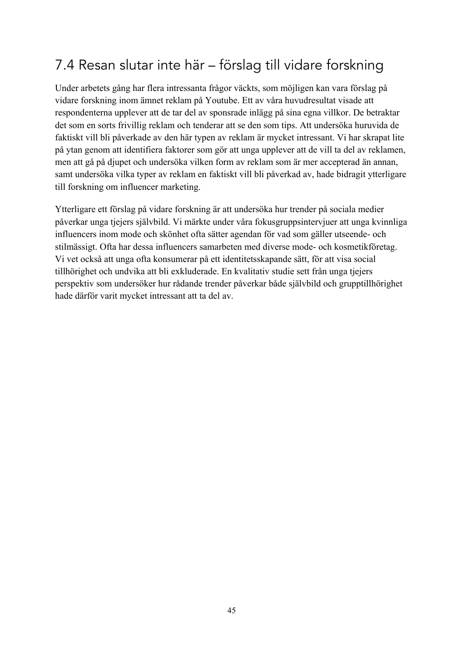# 7.4 Resan slutar inte här – förslag till vidare forskning

Under arbetets gång har flera intressanta frågor väckts, som möjligen kan vara förslag på vidare forskning inom ämnet reklam på Youtube. Ett av våra huvudresultat visade att respondenterna upplever att de tar del av sponsrade inlägg på sina egna villkor. De betraktar det som en sorts frivillig reklam och tenderar att se den som tips. Att undersöka huruvida de faktiskt vill bli påverkade av den här typen av reklam är mycket intressant. Vi har skrapat lite på ytan genom att identifiera faktorer som gör att unga upplever att de vill ta del av reklamen, men att gå på djupet och undersöka vilken form av reklam som är mer accepterad än annan, samt undersöka vilka typer av reklam en faktiskt vill bli påverkad av, hade bidragit ytterligare till forskning om influencer marketing.

Ytterligare ett förslag på vidare forskning är att undersöka hur trender på sociala medier påverkar unga tjejers självbild. Vi märkte under våra fokusgruppsintervjuer att unga kvinnliga influencers inom mode och skönhet ofta sätter agendan för vad som gäller utseende- och stilmässigt. Ofta har dessa influencers samarbeten med diverse mode- och kosmetikföretag. Vi vet också att unga ofta konsumerar på ett identitetsskapande sätt, för att visa social tillhörighet och undvika att bli exkluderade. En kvalitativ studie sett från unga tjejers perspektiv som undersöker hur rådande trender påverkar både självbild och grupptillhörighet hade därför varit mycket intressant att ta del av.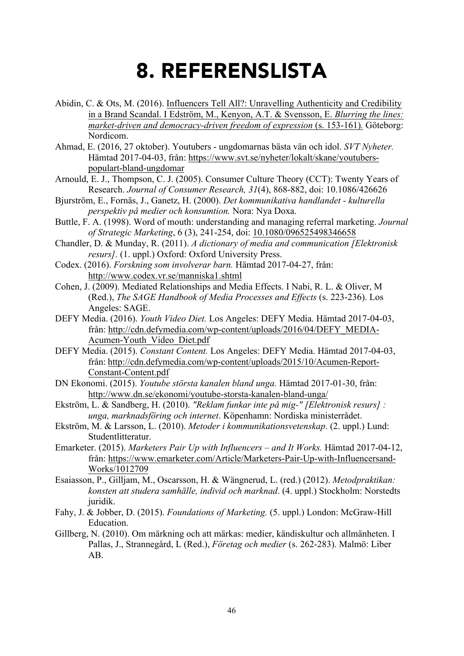# 8. REFERENSLISTA

- Abidin, C. & Ots, M. (2016). Influencers Tell All?: Unravelling Authenticity and Credibility in a Brand Scandal. I Edström, M., Kenyon, A.T. & Svensson, E. *Blurring the lines: market-driven and democracy-driven freedom of expression (s. 153-161). Göteborg:* Nordicom.
- Ahmad, E. (2016, 27 oktober). Youtubers ungdomarnas bästa vän och idol. *SVT Nyheter.*  Hämtad 2017-04-03, från: https://www.svt.se/nyheter/lokalt/skane/youtuberspopulart-bland-ungdomar
- Arnould, E. J., Thompson, C. J. (2005). Consumer Culture Theory (CCT): Twenty Years of Research. *Journal of Consumer Research, 31*(4), 868-882, doi: 10.1086/426626

Bjurström, E., Fornäs, J., Ganetz, H. (2000). *Det kommunikativa handlandet - kulturella perspektiv på medier och konsumtion.* Nora: Nya Doxa.

- Buttle, F. A. (1998). Word of mouth: understanding and managing referral marketing. *Journal of Strategic Marketing*, 6 (3), 241-254, doi: 10.1080/096525498346658
- Chandler, D. & Munday, R. (2011). *A dictionary of media and communication [Elektronisk resurs].* (1. uppl.) Oxford: Oxford University Press.
- Codex. (2016). *Forskning som involverar barn.* Hämtad 2017-04-27, från: http://www.codex.vr.se/manniska1.shtml
- Cohen, J. (2009). Mediated Relationships and Media Effects. I Nabi, R. L. & Oliver, M (Red.), *The SAGE Handbook of Media Processes and Effects* (s. 223-236). Los Angeles: SAGE.
- DEFY Media. (2016). *Youth Video Diet.* Los Angeles: DEFY Media. Hämtad 2017-04-03, från: http://cdn.defymedia.com/wp-content/uploads/2016/04/DEFY\_MEDIA-Acumen-Youth\_Video\_Diet.pdf
- DEFY Media. (2015). *Constant Content.* Los Angeles: DEFY Media. Hämtad 2017-04-03, från: http://cdn.defymedia.com/wp-content/uploads/2015/10/Acumen-Report-Constant-Content.pdf
- DN Ekonomi. (2015). *Youtube största kanalen bland unga.* Hämtad 2017-01-30, från: http://www.dn.se/ekonomi/youtube-storsta-kanalen-bland-unga/
- Ekström, L. & Sandberg, H. (2010). *"Reklam funkar inte på mig-" [Elektronisk resurs] : unga, marknadsföring och internet*. Köpenhamn: Nordiska ministerrådet.
- Ekström, M. & Larsson, L. (2010). *Metoder i kommunikationsvetenskap*. (2. uppl.) Lund: Studentlitteratur.
- Emarketer. (2015). *Marketers Pair Up with Influencers – and It Works.* Hämtad 2017-04-12, från: https://www.emarketer.com/Article/Marketers-Pair-Up-with-Influencersand-Works/1012709
- Esaiasson, P., Gilljam, M., Oscarsson, H. & Wängnerud, L. (red.) (2012). *Metodpraktikan: konsten att studera samhälle, individ och marknad*. (4. uppl.) Stockholm: Norstedts juridik.
- Fahy, J. & Jobber, D. (2015). *Foundations of Marketing.* (5. uppl.) London: McGraw-Hill Education.
- Gillberg, N. (2010). Om märkning och att märkas: medier, kändiskultur och allmänheten. I Pallas, J., Strannegård, L (Red.), *Företag och medier* (s. 262-283). Malmö: Liber AB.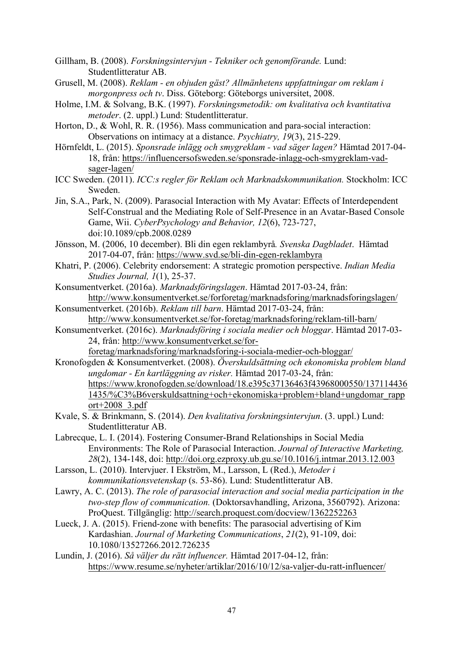Gillham, B. (2008). *Forskningsintervjun - Tekniker och genomförande.* Lund: Studentlitteratur AB.

- Grusell, M. (2008). *Reklam - en objuden gäst? Allmänhetens uppfattningar om reklam i morgonpress och tv*. Diss. Göteborg: Göteborgs universitet, 2008.
- Holme, I.M. & Solvang, B.K. (1997). *Forskningsmetodik: om kvalitativa och kvantitativa metoder*. (2. uppl.) Lund: Studentlitteratur.
- Horton, D., & Wohl, R. R. (1956). Mass communication and para-social interaction: Observations on intimacy at a distance. *Psychiatry, 19*(3), 215-229.
- Hörnfeldt, L. (2015). *Sponsrade inlägg och smygreklam - vad säger lagen?* Hämtad 2017-04- 18, från: https://influencersofsweden.se/sponsrade-inlagg-och-smygreklam-vadsager-lagen/
- ICC Sweden. (2011). *ICC:s regler för Reklam och Marknadskommunikation.* Stockholm: ICC Sweden.
- Jin, S.A., Park, N. (2009). Parasocial Interaction with My Avatar: Effects of Interdependent Self-Construal and the Mediating Role of Self-Presence in an Avatar-Based Console Game, Wii. *CyberPsychology and Behavior, 12*(6), 723-727, doi:10.1089/cpb.2008.0289
- Jönsson, M. (2006, 10 december). Bli din egen reklambyrå*. Svenska Dagbladet*. Hämtad 2017-04-07, från: https://www.svd.se/bli-din-egen-reklambyra
- Khatri, P. (2006). Celebrity endorsement: A strategic promotion perspective. *Indian Media Studies Journal, 1*(1), 25-37.
- Konsumentverket. (2016a). *Marknadsföringslagen*. Hämtad 2017-03-24, från: http://www.konsumentverket.se/forforetag/marknadsforing/marknadsforingslagen/
- Konsumentverket. (2016b). *Reklam till barn*. Hämtad 2017-03-24, från: http://www.konsumentverket.se/for-foretag/marknadsforing/reklam-till-barn/
- Konsumentverket. (2016c). *Marknadsföring i sociala medier och bloggar*. Hämtad 2017-03- 24, från: http://www.konsumentverket.se/for
	- foretag/marknadsforing/marknadsforing-i-sociala-medier-och-bloggar/
- Kronofogden & Konsumentverket. (2008). *Överskuldsättning och ekonomiska problem bland ungdomar - En kartläggning av risker.* Hämtad 2017-03-24, från: https://www.kronofogden.se/download/18.e395c37136463f43968000550/137114436 1435/%C3%B6verskuldsattning+och+ekonomiska+problem+bland+ungdomar\_rapp ort+2008\_3.pdf
- Kvale, S. & Brinkmann, S. (2014). *Den kvalitativa forskningsintervjun*. (3. uppl.) Lund: Studentlitteratur AB.
- Labrecque, L. I. (2014). Fostering Consumer-Brand Relationships in Social Media Environments: The Role of Parasocial Interaction. *Journal of Interactive Marketing, 28*(2), 134-148, doi: http://doi.org.ezproxy.ub.gu.se/10.1016/j.intmar.2013.12.003
- Larsson, L. (2010). Intervjuer. I Ekström, M., Larsson, L (Red.), *Metoder i kommunikationsvetenskap* (s. 53-86). Lund: Studentlitteratur AB.
- Lawry, A. C. (2013). *The role of parasocial interaction and social media participation in the two-step flow of communication.* (Doktorsavhandling, Arizona, 3560792). Arizona: ProQuest. Tillgänglig: http://search.proquest.com/docview/1362252263
- Lueck, J. A. (2015). Friend-zone with benefits: The parasocial advertising of Kim Kardashian. *Journal of Marketing Communications*, *21*(2), 91-109, doi: 10.1080/13527266.2012.726235
- Lundin, J. (2016). *Så väljer du rätt influencer.* Hämtad 2017-04-12, från: https://www.resume.se/nyheter/artiklar/2016/10/12/sa-valjer-du-ratt-influencer/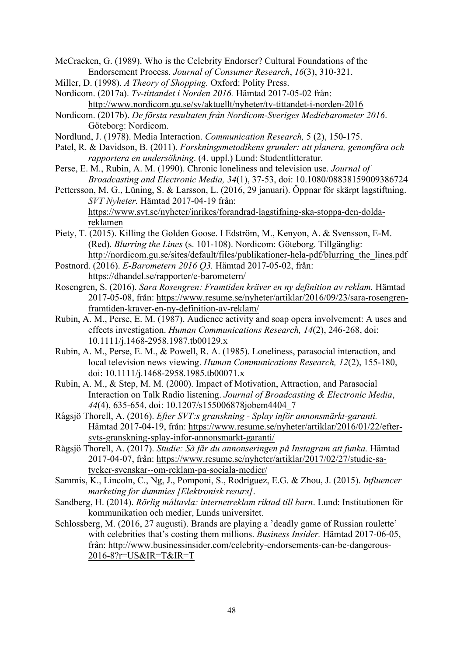McCracken, G. (1989). Who is the Celebrity Endorser? Cultural Foundations of the Endorsement Process. *Journal of Consumer Research*, *16*(3), 310-321.

Miller, D. (1998). *A Theory of Shopping.* Oxford: Polity Press.

- Nordicom. (2017a). *Tv-tittandet i Norden 2016.* Hämtad 2017-05-02 från:
- http://www.nordicom.gu.se/sv/aktuellt/nyheter/tv-tittandet-i-norden-2016
- Nordicom. (2017b). *De första resultaten från Nordicom-Sveriges Mediebarometer 2016*. Göteborg: Nordicom.
- Nordlund, J. (1978). Media Interaction. *Communication Research,* 5 (2), 150-175.
- Patel, R. & Davidson, B. (2011). *Forskningsmetodikens grunder: att planera, genomföra och rapportera en undersökning*. (4. uppl.) Lund: Studentlitteratur.
- Perse, E. M., Rubin, A. M. (1990). Chronic loneliness and television use. *Journal of Broadcasting and Electronic Media, 34*(1), 37-53, doi: 10.1080/08838159009386724
- Pettersson, M. G., Lüning, S. & Larsson, L. (2016, 29 januari). Öppnar för skärpt lagstiftning. *SVT Nyheter.* Hämtad 2017-04-19 från: https://www.svt.se/nyheter/inrikes/forandrad-lagstifning-ska-stoppa-den-doldareklamen
- Piety, T. (2015). Killing the Golden Goose. I Edström, M., Kenyon, A. & Svensson, E-M. (Red). *Blurring the Lines* (s. 101-108). Nordicom: Göteborg. Tillgänglig: http://nordicom.gu.se/sites/default/files/publikationer-hela-pdf/blurring\_the\_lines.pdf
- Postnord. (2016). *E-Barometern 2016 Q3.* Hämtad 2017-05-02, från: https://dhandel.se/rapporter/e-barometern/
- Rosengren, S. (2016). *Sara Rosengren: Framtiden kräver en ny definition av reklam.* Hämtad 2017-05-08, från: https://www.resume.se/nyheter/artiklar/2016/09/23/sara-rosengrenframtiden-kraver-en-ny-definition-av-reklam/
- Rubin, A. M., Perse, E. M. (1987). Audience activity and soap opera involvement: A uses and effects investigation. *Human Communications Research, 14*(2), 246-268, doi: 10.1111/j.1468-2958.1987.tb00129.x
- Rubin, A. M., Perse, E. M., & Powell, R. A. (1985). Loneliness, parasocial interaction, and local television news viewing. *Human Communications Research, 12*(2), 155-180, doi: 10.1111/j.1468-2958.1985.tb00071.x
- Rubin, A. M., & Step, M. M. (2000). Impact of Motivation, Attraction, and Parasocial Interaction on Talk Radio listening. *Journal of Broadcasting & Electronic Media*, *44*(4), 635-654, doi: 10.1207/s155006878jobem4404\_7
- Rågsjö Thorell, A. (2016). *Efter SVT:s granskning - Splay inför annonsmärkt-garanti.*  Hämtad 2017-04-19, från: https://www.resume.se/nyheter/artiklar/2016/01/22/eftersvts-granskning-splay-infor-annonsmarkt-garanti/
- Rågsjö Thorell, A. (2017). *Studie: Så får du annonseringen på Instagram att funka.* Hämtad 2017-04-07, från: https://www.resume.se/nyheter/artiklar/2017/02/27/studie-satycker-svenskar--om-reklam-pa-sociala-medier/
- Sammis, K., Lincoln, C., Ng, J., Pomponi, S., Rodriguez, E.G. & Zhou, J. (2015). *Influencer marketing for dummies [Elektronisk resurs]*.
- Sandberg, H. (2014). *Rörlig måltavla: internetreklam riktad till barn*. Lund: Institutionen för kommunikation och medier, Lunds universitet.
- Schlossberg, M. (2016, 27 augusti). Brands are playing a 'deadly game of Russian roulette' with celebrities that's costing them millions. *Business Insider.* Hämtad 2017-06-05, från: http://www.businessinsider.com/celebrity-endorsements-can-be-dangerous-2016-8?r=US&IR=T&IR=T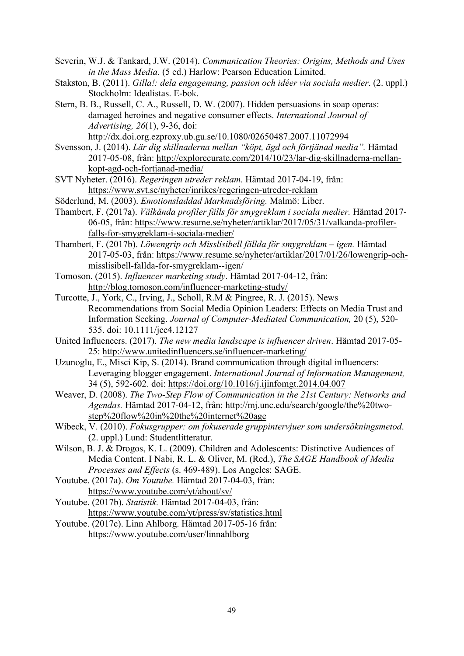- Severin, W.J. & Tankard, J.W. (2014). *Communication Theories: Origins, Methods and Uses in the Mass Media*. (5 ed.) Harlow: Pearson Education Limited.
- Stakston, B. (2011). *Gilla!: dela engagemang, passion och idéer via sociala medier*. (2. uppl.) Stockholm: Idealistas. E-bok.
- Stern, B. B., Russell, C. A., Russell, D. W. (2007). Hidden persuasions in soap operas: damaged heroines and negative consumer effects. *International Journal of Advertising, 26*(1), 9-36, doi:
	- http://dx.doi.org.ezproxy.ub.gu.se/10.1080/02650487.2007.11072994
- Svensson, J. (2014). *Lär dig skillnaderna mellan "köpt, ägd och förtjänad media".* Hämtad 2017-05-08, från: http://explorecurate.com/2014/10/23/lar-dig-skillnaderna-mellankopt-agd-och-fortjanad-media/
- SVT Nyheter. (2016). *Regeringen utreder reklam.* Hämtad 2017-04-19, från: https://www.svt.se/nyheter/inrikes/regeringen-utreder-reklam
- Söderlund, M. (2003). *Emotionsladdad Marknadsföring.* Malmö: Liber.
- Thambert, F. (2017a). *Välkända profiler fälls för smygreklam i sociala medier.* Hämtad 2017- 06-05, från: https://www.resume.se/nyheter/artiklar/2017/05/31/valkanda-profilerfalls-for-smygreklam-i-sociala-medier/
- Thambert, F. (2017b). *Löwengrip och Misslisibell fällda för smygreklam – igen.* Hämtad 2017-05-03, från: https://www.resume.se/nyheter/artiklar/2017/01/26/lowengrip-ochmisslisibell-fallda-for-smygreklam--igen/
- Tomoson. (2015). *Influencer marketing study*. Hämtad 2017-04-12, från: http://blog.tomoson.com/influencer-marketing-study/
- Turcotte, J., York, C., Irving, J., Scholl, R.M & Pingree, R. J. (2015). News Recommendations from Social Media Opinion Leaders: Effects on Media Trust and Information Seeking. *Journal of Computer-Mediated Communication,* 20 (5), 520- 535. doi: 10.1111/jcc4.12127
- United Influencers. (2017). *The new media landscape is influencer driven*. Hämtad 2017-05- 25: http://www.unitedinfluencers.se/influencer-marketing/
- Uzunoglu, E., Misci Kip, S. (2014). Brand communication through digital influencers: Leveraging blogger engagement. *International Journal of Information Management,*  34 (5), 592-602. doi: https://doi.org/10.1016/j.ijinfomgt.2014.04.007
- Weaver, D. (2008). *The Two-Step Flow of Communication in the 21st Century: Networks and Agendas.* Hämtad 2017-04-12, från: http://mj.unc.edu/search/google/the%20twostep%20flow%20in%20the%20internet%20age
- Wibeck, V. (2010). *Fokusgrupper: om fokuserade gruppintervjuer som undersökningsmetod*. (2. uppl.) Lund: Studentlitteratur.
- Wilson, B. J. & Drogos, K. L. (2009). Children and Adolescents: Distinctive Audiences of Media Content. I Nabi, R. L. & Oliver, M. (Red.), *The SAGE Handbook of Media Processes and Effects* (s. 469-489). Los Angeles: SAGE.
- Youtube. (2017a). *Om Youtube.* Hämtad 2017-04-03, från: https://www.youtube.com/yt/about/sv/
- Youtube. (2017b). *Statistik.* Hämtad 2017-04-03, från: https://www.youtube.com/yt/press/sv/statistics.html
- Youtube. (2017c). Linn Ahlborg. Hämtad 2017-05-16 från: https://www.youtube.com/user/linnahlborg